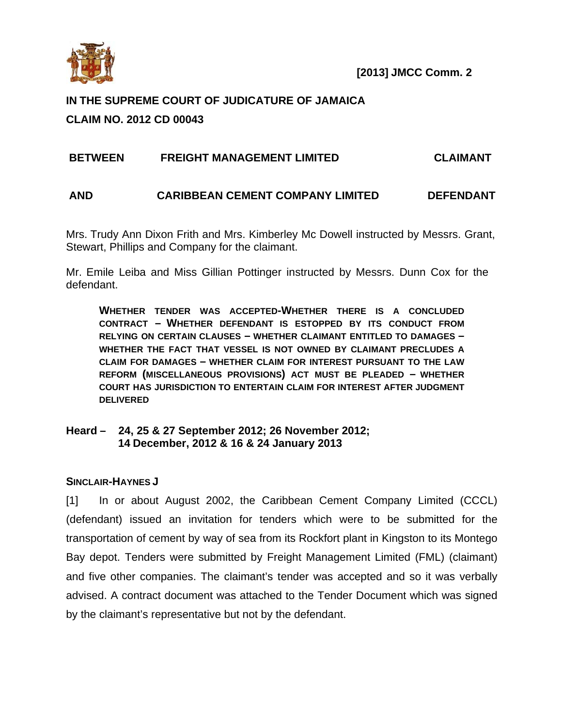

# **IN THE SUPREME COURT OF JUDICATURE OF JAMAICA CLAIM NO. 2012 CD 00043**

# **BETWEEN FREIGHT MANAGEMENT LIMITED CLAIMANT**

# **AND CARIBBEAN CEMENT COMPANY LIMITED DEFENDANT**

Mrs. Trudy Ann Dixon Frith and Mrs. Kimberley Mc Dowell instructed by Messrs. Grant, Stewart, Phillips and Company for the claimant.

Mr. Emile Leiba and Miss Gillian Pottinger instructed by Messrs. Dunn Cox for the defendant.

**WHETHER TENDER WAS ACCEPTED-WHETHER THERE IS A CONCLUDED CONTRACT – WHETHER DEFENDANT IS ESTOPPED BY ITS CONDUCT FROM RELYING ON CERTAIN CLAUSES – WHETHER CLAIMANT ENTITLED TO DAMAGES – WHETHER THE FACT THAT VESSEL IS NOT OWNED BY CLAIMANT PRECLUDES A CLAIM FOR DAMAGES – WHETHER CLAIM FOR INTEREST PURSUANT TO THE LAW REFORM (MISCELLANEOUS PROVISIONS) ACT MUST BE PLEADED – WHETHER COURT HAS JURISDICTION TO ENTERTAIN CLAIM FOR INTEREST AFTER JUDGMENT DELIVERED**

# **Heard – 24, 25 & 27 September 2012; 26 November 2012; 14 December, 2012 & 16 & 24 January 2013**

# **SINCLAIR-HAYNES J**

[1] In or about August 2002, the Caribbean Cement Company Limited (CCCL) (defendant) issued an invitation for tenders which were to be submitted for the transportation of cement by way of sea from its Rockfort plant in Kingston to its Montego Bay depot. Tenders were submitted by Freight Management Limited (FML) (claimant) and five other companies. The claimant's tender was accepted and so it was verbally advised. A contract document was attached to the Tender Document which was signed by the claimant's representative but not by the defendant.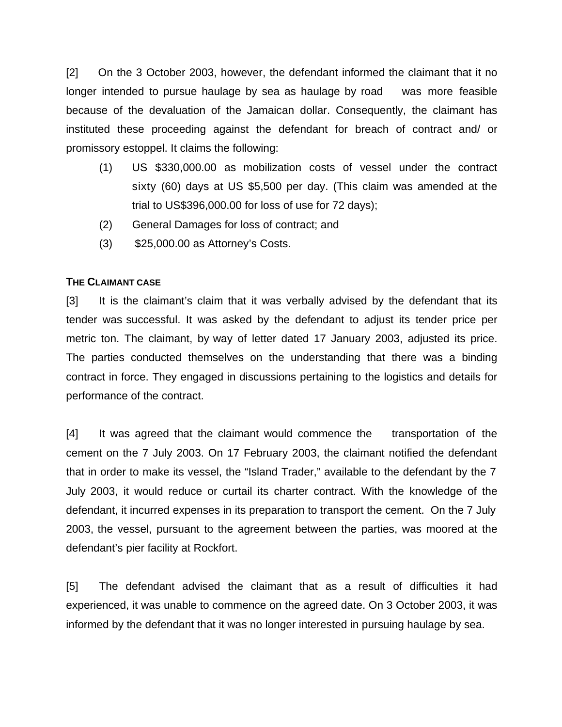[2] On the 3 October 2003, however, the defendant informed the claimant that it no longer intended to pursue haulage by sea as haulage by road was more feasible because of the devaluation of the Jamaican dollar. Consequently, the claimant has instituted these proceeding against the defendant for breach of contract and/ or promissory estoppel. It claims the following:

- (1) US \$330,000.00 as mobilization costs of vessel under the contract sixty (60) days at US \$5,500 per day. (This claim was amended at the trial to US\$396,000.00 for loss of use for 72 days);
- (2) General Damages for loss of contract; and
- (3) \$25,000.00 as Attorney's Costs.

## **THE CLAIMANT CASE**

[3] It is the claimant's claim that it was verbally advised by the defendant that its tender was successful. It was asked by the defendant to adjust its tender price per metric ton. The claimant, by way of letter dated 17 January 2003, adjusted its price. The parties conducted themselves on the understanding that there was a binding contract in force. They engaged in discussions pertaining to the logistics and details for performance of the contract.

[4] It was agreed that the claimant would commence the transportation of the cement on the 7 July 2003. On 17 February 2003, the claimant notified the defendant that in order to make its vessel, the "Island Trader," available to the defendant by the 7 July 2003, it would reduce or curtail its charter contract. With the knowledge of the defendant, it incurred expenses in its preparation to transport the cement. On the 7 July 2003, the vessel, pursuant to the agreement between the parties, was moored at the defendant's pier facility at Rockfort.

[5] The defendant advised the claimant that as a result of difficulties it had experienced, it was unable to commence on the agreed date. On 3 October 2003, it was informed by the defendant that it was no longer interested in pursuing haulage by sea.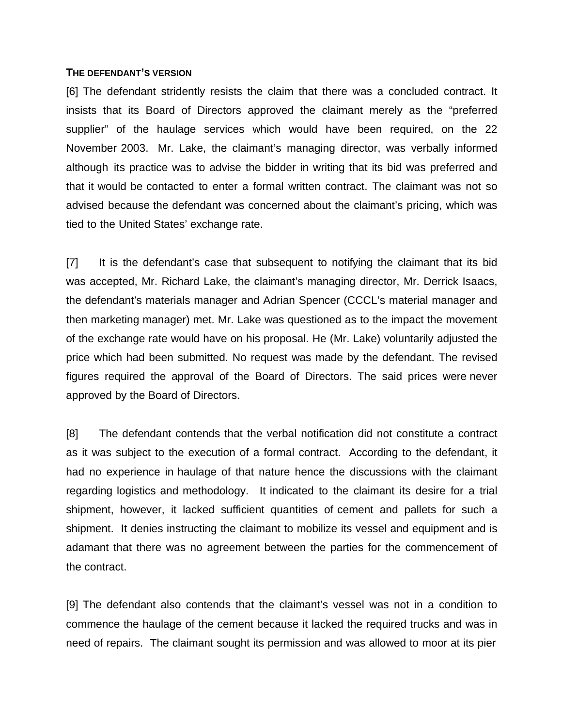#### **THE DEFENDANT'S VERSION**

[6] The defendant stridently resists the claim that there was a concluded contract. It insists that its Board of Directors approved the claimant merely as the "preferred supplier" of the haulage services which would have been required, on the 22 November 2003. Mr. Lake, the claimant's managing director, was verbally informed although its practice was to advise the bidder in writing that its bid was preferred and that it would be contacted to enter a formal written contract. The claimant was not so advised because the defendant was concerned about the claimant's pricing, which was tied to the United States' exchange rate.

[7] It is the defendant's case that subsequent to notifying the claimant that its bid was accepted, Mr. Richard Lake, the claimant's managing director, Mr. Derrick Isaacs, the defendant's materials manager and Adrian Spencer (CCCL's material manager and then marketing manager) met. Mr. Lake was questioned as to the impact the movement of the exchange rate would have on his proposal. He (Mr. Lake) voluntarily adjusted the price which had been submitted. No request was made by the defendant. The revised figures required the approval of the Board of Directors. The said prices were never approved by the Board of Directors.

[8] The defendant contends that the verbal notification did not constitute a contract as it was subject to the execution of a formal contract. According to the defendant, it had no experience in haulage of that nature hence the discussions with the claimant regarding logistics and methodology. It indicated to the claimant its desire for a trial shipment, however, it lacked sufficient quantities of cement and pallets for such a shipment. It denies instructing the claimant to mobilize its vessel and equipment and is adamant that there was no agreement between the parties for the commencement of the contract.

[9] The defendant also contends that the claimant's vessel was not in a condition to commence the haulage of the cement because it lacked the required trucks and was in need of repairs. The claimant sought its permission and was allowed to moor at its pier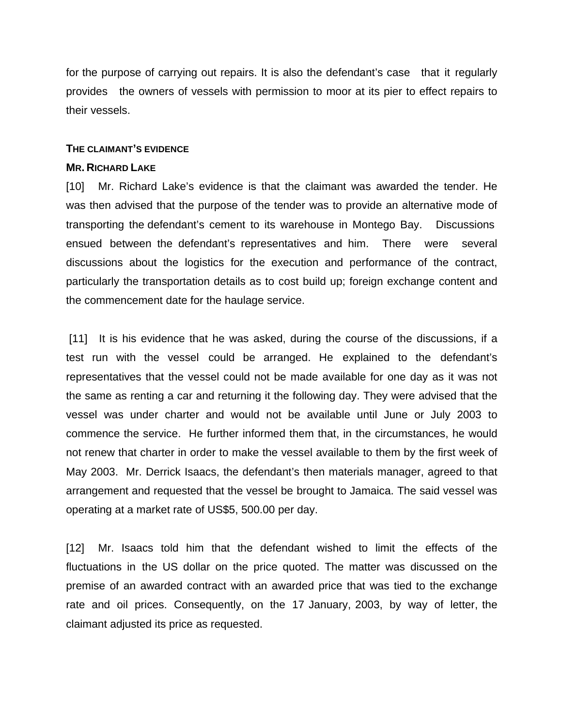for the purpose of carrying out repairs. It is also the defendant's case that it regularly provides the owners of vessels with permission to moor at its pier to effect repairs to their vessels.

#### **THE CLAIMANT'S EVIDENCE**

#### **MR. RICHARD LAKE**

[10] Mr. Richard Lake's evidence is that the claimant was awarded the tender. He was then advised that the purpose of the tender was to provide an alternative mode of transporting the defendant's cement to its warehouse in Montego Bay. Discussions ensued between the defendant's representatives and him. There were several discussions about the logistics for the execution and performance of the contract, particularly the transportation details as to cost build up; foreign exchange content and the commencement date for the haulage service.

[11] It is his evidence that he was asked, during the course of the discussions, if a test run with the vessel could be arranged. He explained to the defendant's representatives that the vessel could not be made available for one day as it was not the same as renting a car and returning it the following day. They were advised that the vessel was under charter and would not be available until June or July 2003 to commence the service. He further informed them that, in the circumstances, he would not renew that charter in order to make the vessel available to them by the first week of May 2003. Mr. Derrick Isaacs, the defendant's then materials manager, agreed to that arrangement and requested that the vessel be brought to Jamaica. The said vessel was operating at a market rate of US\$5, 500.00 per day.

[12] Mr. Isaacs told him that the defendant wished to limit the effects of the fluctuations in the US dollar on the price quoted. The matter was discussed on the premise of an awarded contract with an awarded price that was tied to the exchange rate and oil prices. Consequently, on the 17 January, 2003, by way of letter, the claimant adjusted its price as requested.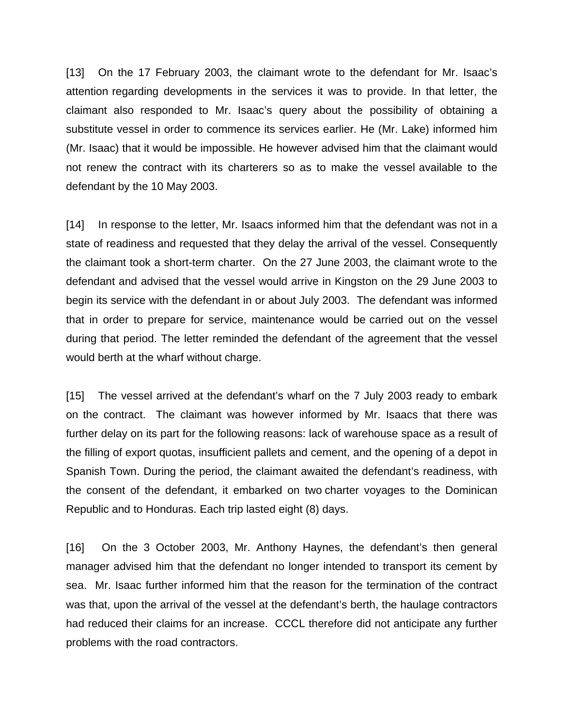[13] On the 17 February 2003, the claimant wrote to the defendant for Mr. Isaac's attention regarding developments in the services it was to provide. In that letter, the claimant also responded to Mr. Isaac's query about the possibility of obtaining a substitute vessel in order to commence its services earlier. He (Mr. Lake) informed him (Mr. Isaac) that it would be impossible. He however advised him that the claimant would not renew the contract with its charterers so as to make the vessel available to the defendant by the 10 May 2003.

[14] In response to the letter, Mr. Isaacs informed him that the defendant was not in a state of readiness and requested that they delay the arrival of the vessel. Consequently the claimant took a short-term charter. On the 27 June 2003, the claimant wrote to the defendant and advised that the vessel would arrive in Kingston on the 29 June 2003 to begin its service with the defendant in or about July 2003. The defendant was informed that in order to prepare for service, maintenance would be carried out on the vessel during that period. The letter reminded the defendant of the agreement that the vessel would berth at the wharf without charge.

[15] The vessel arrived at the defendant's wharf on the 7 July 2003 ready to embark on the contract. The claimant was however informed by Mr. Isaacs that there was further delay on its part for the following reasons: lack of warehouse space as a result of the filling of export quotas, insufficient pallets and cement, and the opening of a depot in Spanish Town. During the period, the claimant awaited the defendant's readiness, with the consent of the defendant, it embarked on two charter voyages to the Dominican Republic and to Honduras. Each trip lasted eight (8) days.

[16] On the 3 October 2003, Mr. Anthony Haynes, the defendant's then general manager advised him that the defendant no longer intended to transport its cement by sea. Mr. Isaac further informed him that the reason for the termination of the contract was that, upon the arrival of the vessel at the defendant's berth, the haulage contractors had reduced their claims for an increase. CCCL therefore did not anticipate any further problems with the road contractors.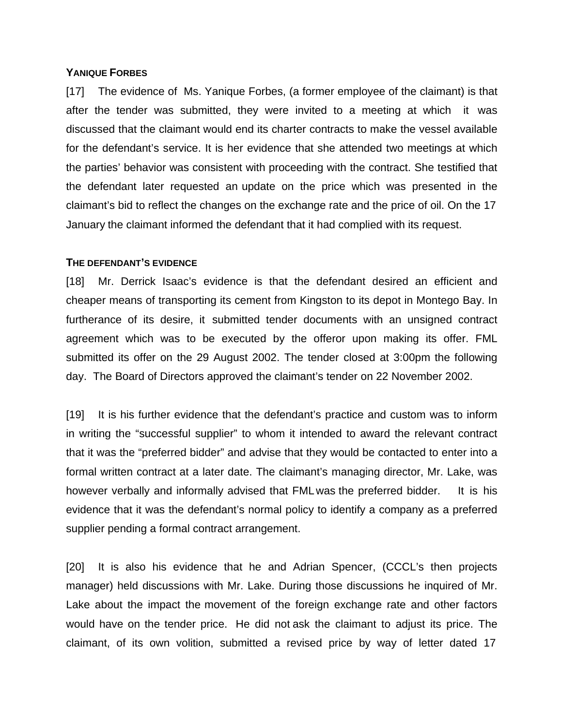#### **YANIQUE FORBES**

[17] The evidence of Ms. Yanique Forbes, (a former employee of the claimant) is that after the tender was submitted, they were invited to a meeting at which it was discussed that the claimant would end its charter contracts to make the vessel available for the defendant's service. It is her evidence that she attended two meetings at which the parties' behavior was consistent with proceeding with the contract. She testified that the defendant later requested an update on the price which was presented in the claimant's bid to reflect the changes on the exchange rate and the price of oil. On the 17 January the claimant informed the defendant that it had complied with its request.

### **THE DEFENDANT'S EVIDENCE**

[18] Mr. Derrick Isaac's evidence is that the defendant desired an efficient and cheaper means of transporting its cement from Kingston to its depot in Montego Bay. In furtherance of its desire, it submitted tender documents with an unsigned contract agreement which was to be executed by the offeror upon making its offer. FML submitted its offer on the 29 August 2002. The tender closed at 3:00pm the following day. The Board of Directors approved the claimant's tender on 22 November 2002.

[19] It is his further evidence that the defendant's practice and custom was to inform in writing the "successful supplier" to whom it intended to award the relevant contract that it was the "preferred bidder" and advise that they would be contacted to enter into a formal written contract at a later date. The claimant's managing director, Mr. Lake, was however verbally and informally advised that FML was the preferred bidder. It is his evidence that it was the defendant's normal policy to identify a company as a preferred supplier pending a formal contract arrangement.

[20] It is also his evidence that he and Adrian Spencer, (CCCL's then projects manager) held discussions with Mr. Lake. During those discussions he inquired of Mr. Lake about the impact the movement of the foreign exchange rate and other factors would have on the tender price. He did not ask the claimant to adjust its price. The claimant, of its own volition, submitted a revised price by way of letter dated 17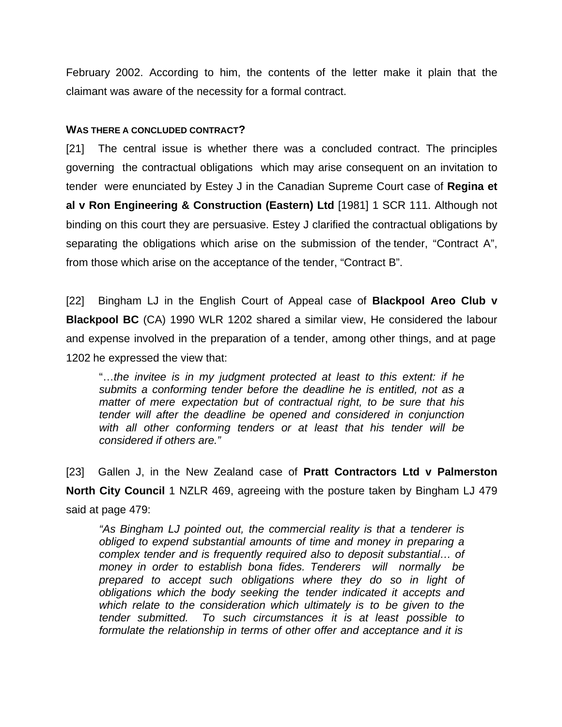February 2002. According to him, the contents of the letter make it plain that the claimant was aware of the necessity for a formal contract.

## **WAS THERE A CONCLUDED CONTRACT?**

[21] The central issue is whether there was a concluded contract. The principles governing the contractual obligations which may arise consequent on an invitation to tender were enunciated by Estey J in the Canadian Supreme Court case of **Regina et al v Ron Engineering & Construction (Eastern) Ltd** [1981] 1 SCR 111. Although not binding on this court they are persuasive. Estey J clarified the contractual obligations by separating the obligations which arise on the submission of the tender, "Contract A", from those which arise on the acceptance of the tender, "Contract B".

[22] Bingham LJ in the English Court of Appeal case of **Blackpool Areo Club v Blackpool BC** (CA) 1990 WLR 1202 shared a similar view, He considered the labour and expense involved in the preparation of a tender, among other things, and at page 1202 he expressed the view that:

"…*the invitee is in my judgment protected at least to this extent: if he submits a conforming tender before the deadline he is entitled, not as a matter of mere expectation but of contractual right, to be sure that his tender will after the deadline be opened and considered in conjunction with all other conforming tenders or at least that his tender will be considered if others are."*

[23] Gallen J, in the New Zealand case of **Pratt Contractors Ltd v Palmerston North City Council** 1 NZLR 469, agreeing with the posture taken by Bingham LJ 479 said at page 479:

*"As Bingham LJ pointed out, the commercial reality is that a tenderer is obliged to expend substantial amounts of time and money in preparing a complex tender and is frequently required also to deposit substantial… of money in order to establish bona fides. Tenderers will normally be prepared to accept such obligations where they do so in light of obligations which the body seeking the tender indicated it accepts and which relate to the consideration which ultimately is to be given to the tender submitted. To such circumstances it is at least possible to formulate the relationship in terms of other offer and acceptance and it is*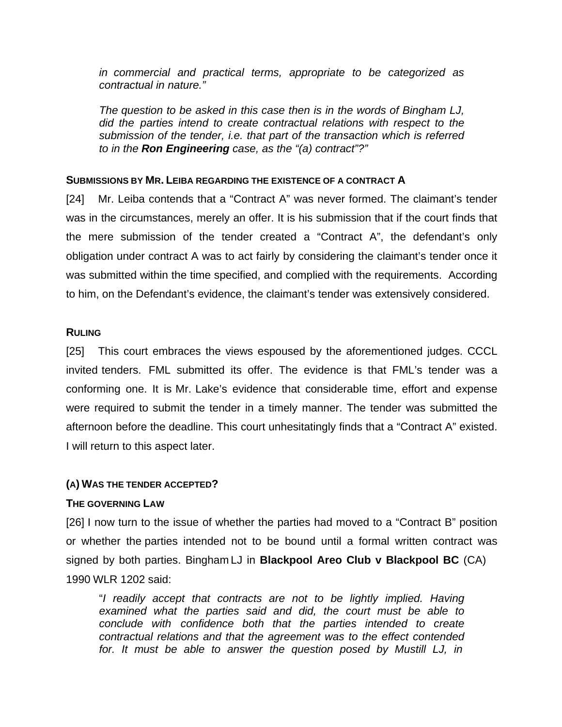*in commercial and practical terms, appropriate to be categorized as contractual in nature."*

*The question to be asked in this case then is in the words of Bingham LJ, did the parties intend to create contractual relations with respect to the submission of the tender, i.e. that part of the transaction which is referred to in the Ron Engineering case, as the "(a) contract"?"*

### **SUBMISSIONS BY MR. LEIBA REGARDING THE EXISTENCE OF A CONTRACT A**

[24] Mr. Leiba contends that a "Contract A" was never formed. The claimant's tender was in the circumstances, merely an offer. It is his submission that if the court finds that the mere submission of the tender created a "Contract A", the defendant's only obligation under contract A was to act fairly by considering the claimant's tender once it was submitted within the time specified, and complied with the requirements. According to him, on the Defendant's evidence, the claimant's tender was extensively considered.

### **RULING**

[25] This court embraces the views espoused by the aforementioned judges. CCCL invited tenders. FML submitted its offer. The evidence is that FML's tender was a conforming one. It is Mr. Lake's evidence that considerable time, effort and expense were required to submit the tender in a timely manner. The tender was submitted the afternoon before the deadline. This court unhesitatingly finds that a "Contract A" existed. I will return to this aspect later.

### **(A) WAS THE TENDER ACCEPTED?**

### **THE GOVERNING LAW**

[26] I now turn to the issue of whether the parties had moved to a "Contract B" position or whether the parties intended not to be bound until a formal written contract was signed by both parties. Bingham LJ in **Blackpool Areo Club v Blackpool BC** (CA) 1990 WLR 1202 said:

"*I readily accept that contracts are not to be lightly implied. Having examined what the parties said and did, the court must be able to conclude with confidence both that the parties intended to create contractual relations and that the agreement was to the effect contended for. It must be able to answer the question posed by Mustill LJ, in*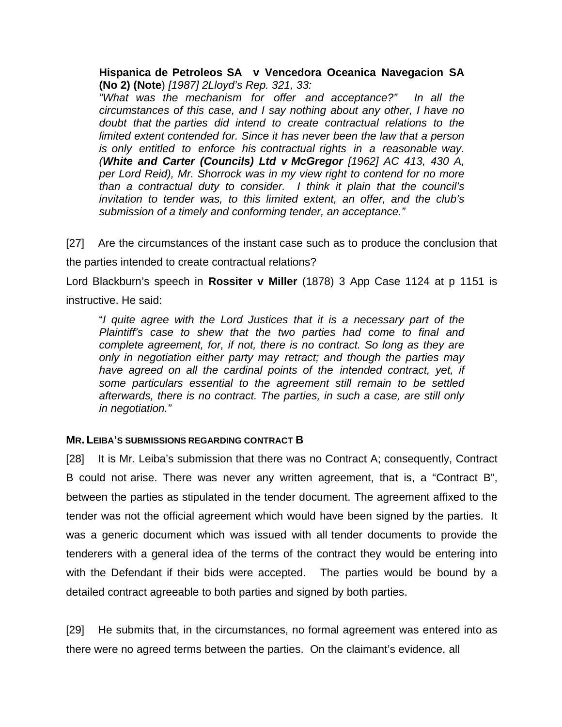**Hispanica de Petroleos SA v Vencedora Oceanica Navegacion SA (No 2) (Note**) *[1987] 2Lloyd's Rep. 321, 33:*

*"What was the mechanism for offer and acceptance?" In all the circumstances of this case, and I say nothing about any other, I have no doubt that the parties did intend to create contractual relations to the limited extent contended for. Since it has never been the law that a person is only entitled to enforce his contractual rights in a reasonable way. (White and Carter (Councils) Ltd v McGregor [1962] AC 413, 430 A, per Lord Reid), Mr. Shorrock was in my view right to contend for no more than a contractual duty to consider. I think it plain that the council's invitation to tender was, to this limited extent, an offer, and the club's submission of a timely and conforming tender, an acceptance."*

[27] Are the circumstances of the instant case such as to produce the conclusion that the parties intended to create contractual relations?

Lord Blackburn's speech in **Rossiter v Miller** (1878) 3 App Case 1124 at p 1151 is instructive. He said:

"*I quite agree with the Lord Justices that it is a necessary part of the Plaintiff's case to shew that the two parties had come to final and complete agreement, for, if not, there is no contract. So long as they are only in negotiation either party may retract; and though the parties may*  have agreed on all the cardinal points of the intended contract, yet, if *some particulars essential to the agreement still remain to be settled afterwards, there is no contract. The parties, in such a case, are still only in negotiation."*

# **MR. LEIBA'S SUBMISSIONS REGARDING CONTRACT B**

[28] It is Mr. Leiba's submission that there was no Contract A; consequently, Contract B could not arise. There was never any written agreement, that is, a "Contract B", between the parties as stipulated in the tender document. The agreement affixed to the tender was not the official agreement which would have been signed by the parties. It was a generic document which was issued with all tender documents to provide the tenderers with a general idea of the terms of the contract they would be entering into with the Defendant if their bids were accepted. The parties would be bound by a detailed contract agreeable to both parties and signed by both parties.

[29] He submits that, in the circumstances, no formal agreement was entered into as there were no agreed terms between the parties. On the claimant's evidence, all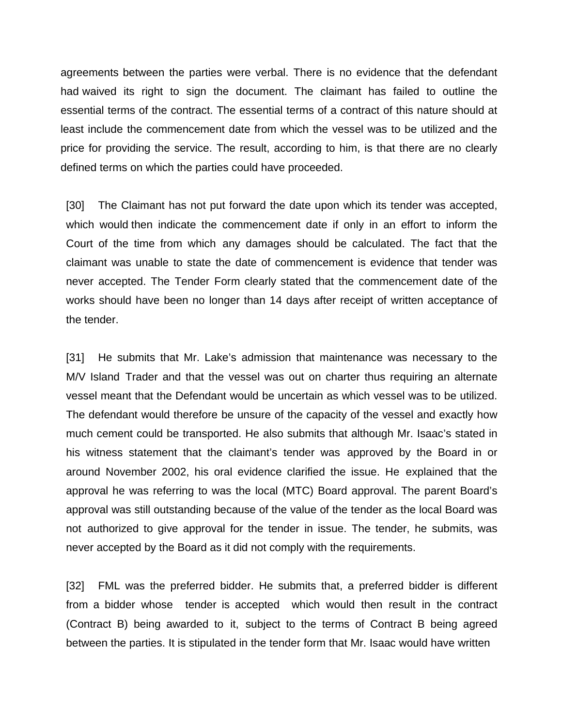agreements between the parties were verbal. There is no evidence that the defendant had waived its right to sign the document. The claimant has failed to outline the essential terms of the contract. The essential terms of a contract of this nature should at least include the commencement date from which the vessel was to be utilized and the price for providing the service. The result, according to him, is that there are no clearly defined terms on which the parties could have proceeded.

[30] The Claimant has not put forward the date upon which its tender was accepted, which would then indicate the commencement date if only in an effort to inform the Court of the time from which any damages should be calculated. The fact that the claimant was unable to state the date of commencement is evidence that tender was never accepted. The Tender Form clearly stated that the commencement date of the works should have been no longer than 14 days after receipt of written acceptance of the tender.

[31] He submits that Mr. Lake's admission that maintenance was necessary to the M/V Island Trader and that the vessel was out on charter thus requiring an alternate vessel meant that the Defendant would be uncertain as which vessel was to be utilized. The defendant would therefore be unsure of the capacity of the vessel and exactly how much cement could be transported. He also submits that although Mr. Isaac's stated in his witness statement that the claimant's tender was approved by the Board in or around November 2002, his oral evidence clarified the issue. He explained that the approval he was referring to was the local (MTC) Board approval. The parent Board's approval was still outstanding because of the value of the tender as the local Board was not authorized to give approval for the tender in issue. The tender, he submits, was never accepted by the Board as it did not comply with the requirements.

[32] FML was the preferred bidder. He submits that, a preferred bidder is different from a bidder whose tender is accepted which would then result in the contract (Contract B) being awarded to it, subject to the terms of Contract B being agreed between the parties. It is stipulated in the tender form that Mr. Isaac would have written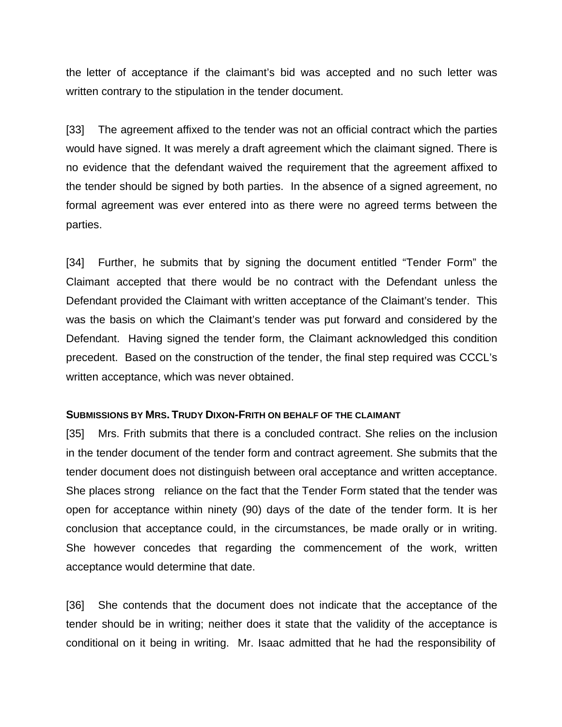the letter of acceptance if the claimant's bid was accepted and no such letter was written contrary to the stipulation in the tender document.

[33] The agreement affixed to the tender was not an official contract which the parties would have signed. It was merely a draft agreement which the claimant signed. There is no evidence that the defendant waived the requirement that the agreement affixed to the tender should be signed by both parties. In the absence of a signed agreement, no formal agreement was ever entered into as there were no agreed terms between the parties.

[34] Further, he submits that by signing the document entitled "Tender Form" the Claimant accepted that there would be no contract with the Defendant unless the Defendant provided the Claimant with written acceptance of the Claimant's tender. This was the basis on which the Claimant's tender was put forward and considered by the Defendant. Having signed the tender form, the Claimant acknowledged this condition precedent. Based on the construction of the tender, the final step required was CCCL's written acceptance, which was never obtained.

### **SUBMISSIONS BY MRS. TRUDY DIXON-FRITH ON BEHALF OF THE CLAIMANT**

[35] Mrs. Frith submits that there is a concluded contract. She relies on the inclusion in the tender document of the tender form and contract agreement. She submits that the tender document does not distinguish between oral acceptance and written acceptance. She places strong reliance on the fact that the Tender Form stated that the tender was open for acceptance within ninety (90) days of the date of the tender form. It is her conclusion that acceptance could, in the circumstances, be made orally or in writing. She however concedes that regarding the commencement of the work, written acceptance would determine that date.

[36] She contends that the document does not indicate that the acceptance of the tender should be in writing; neither does it state that the validity of the acceptance is conditional on it being in writing. Mr. Isaac admitted that he had the responsibility of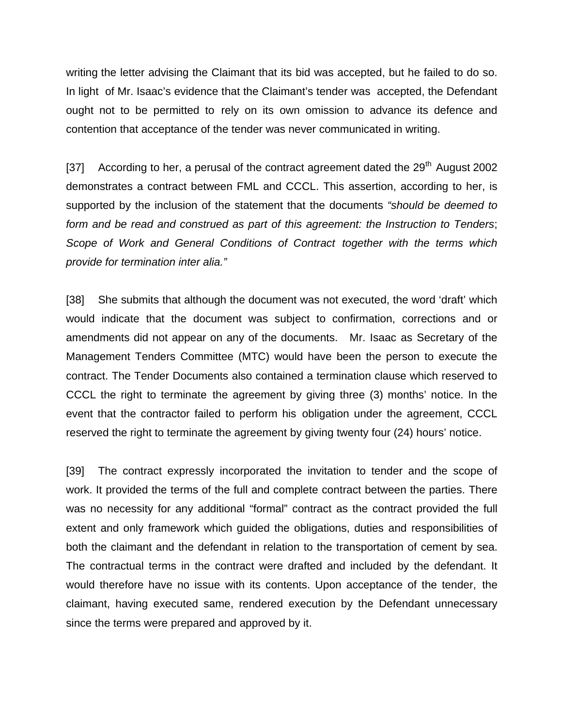writing the letter advising the Claimant that its bid was accepted, but he failed to do so. In light of Mr. Isaac's evidence that the Claimant's tender was accepted, the Defendant ought not to be permitted to rely on its own omission to advance its defence and contention that acceptance of the tender was never communicated in writing.

[37] According to her, a perusal of the contract agreement dated the  $29<sup>th</sup>$  August 2002 demonstrates a contract between FML and CCCL. This assertion, according to her, is supported by the inclusion of the statement that the documents *"should be deemed to form and be read and construed as part of this agreement: the Instruction to Tenders*; *Scope of Work and General Conditions of Contract together with the terms which provide for termination inter alia."*

[38] She submits that although the document was not executed, the word 'draft' which would indicate that the document was subject to confirmation, corrections and or amendments did not appear on any of the documents. Mr. Isaac as Secretary of the Management Tenders Committee (MTC) would have been the person to execute the contract. The Tender Documents also contained a termination clause which reserved to CCCL the right to terminate the agreement by giving three (3) months' notice. In the event that the contractor failed to perform his obligation under the agreement, CCCL reserved the right to terminate the agreement by giving twenty four (24) hours' notice.

[39] The contract expressly incorporated the invitation to tender and the scope of work. It provided the terms of the full and complete contract between the parties. There was no necessity for any additional "formal" contract as the contract provided the full extent and only framework which guided the obligations, duties and responsibilities of both the claimant and the defendant in relation to the transportation of cement by sea. The contractual terms in the contract were drafted and included by the defendant. It would therefore have no issue with its contents. Upon acceptance of the tender, the claimant, having executed same, rendered execution by the Defendant unnecessary since the terms were prepared and approved by it.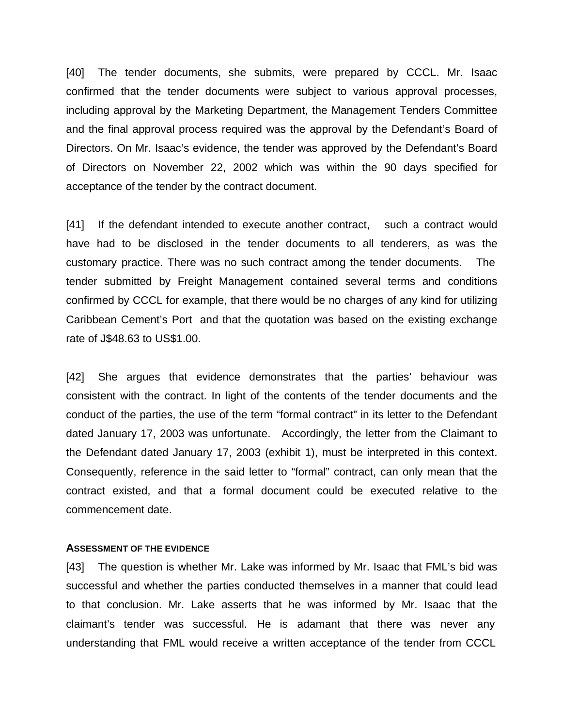[40] The tender documents, she submits, were prepared by CCCL. Mr. Isaac confirmed that the tender documents were subject to various approval processes, including approval by the Marketing Department, the Management Tenders Committee and the final approval process required was the approval by the Defendant's Board of Directors. On Mr. Isaac's evidence, the tender was approved by the Defendant's Board of Directors on November 22, 2002 which was within the 90 days specified for acceptance of the tender by the contract document.

[41] If the defendant intended to execute another contract, such a contract would have had to be disclosed in the tender documents to all tenderers, as was the customary practice. There was no such contract among the tender documents. The tender submitted by Freight Management contained several terms and conditions confirmed by CCCL for example, that there would be no charges of any kind for utilizing Caribbean Cement's Port and that the quotation was based on the existing exchange rate of J\$48.63 to US\$1.00.

[42] She argues that evidence demonstrates that the parties' behaviour was consistent with the contract. In light of the contents of the tender documents and the conduct of the parties, the use of the term "formal contract" in its letter to the Defendant dated January 17, 2003 was unfortunate. Accordingly, the letter from the Claimant to the Defendant dated January 17, 2003 (exhibit 1), must be interpreted in this context. Consequently, reference in the said letter to "formal" contract, can only mean that the contract existed, and that a formal document could be executed relative to the commencement date.

#### **ASSESSMENT OF THE EVIDENCE**

[43] The question is whether Mr. Lake was informed by Mr. Isaac that FML's bid was successful and whether the parties conducted themselves in a manner that could lead to that conclusion. Mr. Lake asserts that he was informed by Mr. Isaac that the claimant's tender was successful. He is adamant that there was never any understanding that FML would receive a written acceptance of the tender from CCCL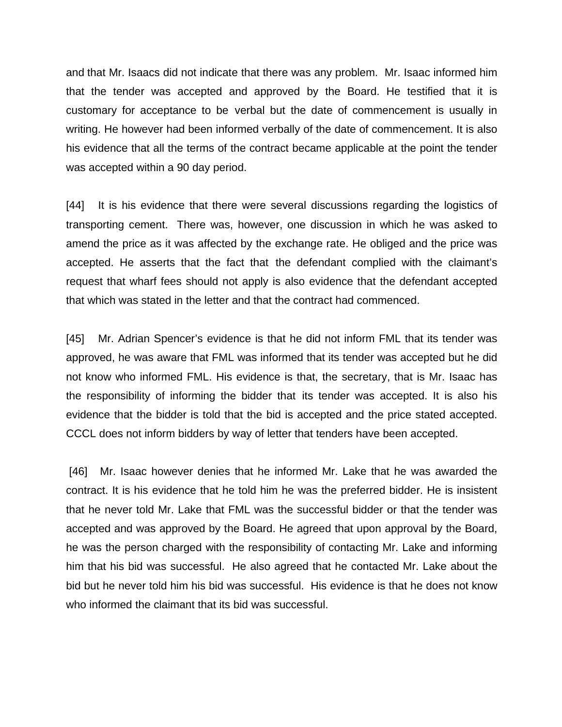and that Mr. Isaacs did not indicate that there was any problem. Mr. Isaac informed him that the tender was accepted and approved by the Board. He testified that it is customary for acceptance to be verbal but the date of commencement is usually in writing. He however had been informed verbally of the date of commencement. It is also his evidence that all the terms of the contract became applicable at the point the tender was accepted within a 90 day period.

[44] It is his evidence that there were several discussions regarding the logistics of transporting cement. There was, however, one discussion in which he was asked to amend the price as it was affected by the exchange rate. He obliged and the price was accepted. He asserts that the fact that the defendant complied with the claimant's request that wharf fees should not apply is also evidence that the defendant accepted that which was stated in the letter and that the contract had commenced.

[45] Mr. Adrian Spencer's evidence is that he did not inform FML that its tender was approved, he was aware that FML was informed that its tender was accepted but he did not know who informed FML. His evidence is that, the secretary, that is Mr. Isaac has the responsibility of informing the bidder that its tender was accepted. It is also his evidence that the bidder is told that the bid is accepted and the price stated accepted. CCCL does not inform bidders by way of letter that tenders have been accepted.

[46] Mr. Isaac however denies that he informed Mr. Lake that he was awarded the contract. It is his evidence that he told him he was the preferred bidder. He is insistent that he never told Mr. Lake that FML was the successful bidder or that the tender was accepted and was approved by the Board. He agreed that upon approval by the Board, he was the person charged with the responsibility of contacting Mr. Lake and informing him that his bid was successful. He also agreed that he contacted Mr. Lake about the bid but he never told him his bid was successful. His evidence is that he does not know who informed the claimant that its bid was successful.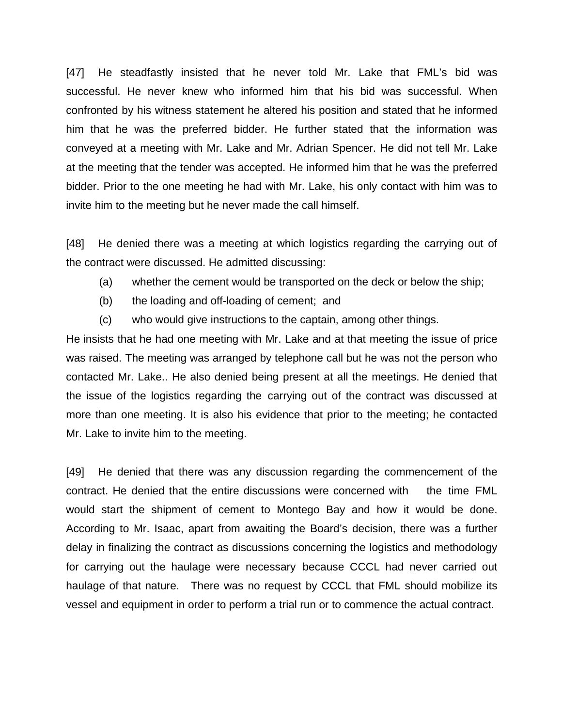[47] He steadfastly insisted that he never told Mr. Lake that FML's bid was successful. He never knew who informed him that his bid was successful. When confronted by his witness statement he altered his position and stated that he informed him that he was the preferred bidder. He further stated that the information was conveyed at a meeting with Mr. Lake and Mr. Adrian Spencer. He did not tell Mr. Lake at the meeting that the tender was accepted. He informed him that he was the preferred bidder. Prior to the one meeting he had with Mr. Lake, his only contact with him was to invite him to the meeting but he never made the call himself.

[48] He denied there was a meeting at which logistics regarding the carrying out of the contract were discussed. He admitted discussing:

- (a) whether the cement would be transported on the deck or below the ship;
- (b) the loading and off-loading of cement; and
- (c) who would give instructions to the captain, among other things.

He insists that he had one meeting with Mr. Lake and at that meeting the issue of price was raised. The meeting was arranged by telephone call but he was not the person who contacted Mr. Lake.. He also denied being present at all the meetings. He denied that the issue of the logistics regarding the carrying out of the contract was discussed at more than one meeting. It is also his evidence that prior to the meeting; he contacted Mr. Lake to invite him to the meeting.

[49] He denied that there was any discussion regarding the commencement of the contract. He denied that the entire discussions were concerned with the time FML would start the shipment of cement to Montego Bay and how it would be done. According to Mr. Isaac, apart from awaiting the Board's decision, there was a further delay in finalizing the contract as discussions concerning the logistics and methodology for carrying out the haulage were necessary because CCCL had never carried out haulage of that nature. There was no request by CCCL that FML should mobilize its vessel and equipment in order to perform a trial run or to commence the actual contract.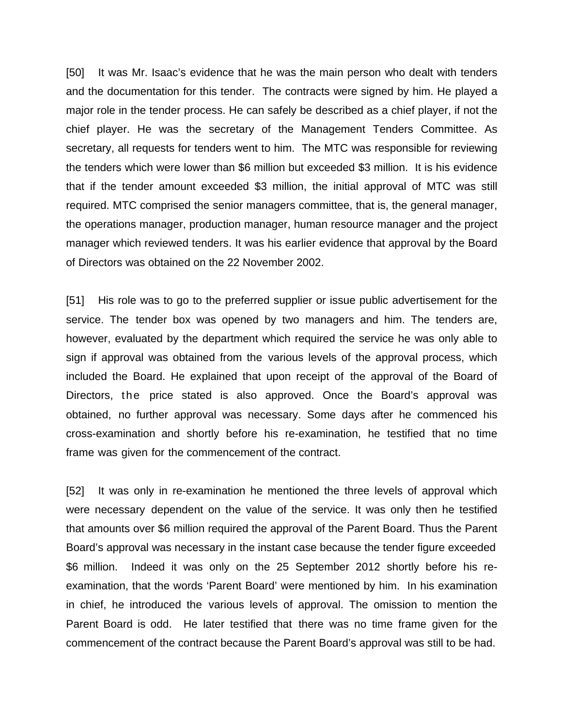[50] It was Mr. Isaac's evidence that he was the main person who dealt with tenders and the documentation for this tender. The contracts were signed by him. He played a major role in the tender process. He can safely be described as a chief player, if not the chief player. He was the secretary of the Management Tenders Committee. As secretary, all requests for tenders went to him. The MTC was responsible for reviewing the tenders which were lower than \$6 million but exceeded \$3 million. It is his evidence that if the tender amount exceeded \$3 million, the initial approval of MTC was still required. MTC comprised the senior managers committee, that is, the general manager, the operations manager, production manager, human resource manager and the project manager which reviewed tenders. It was his earlier evidence that approval by the Board of Directors was obtained on the 22 November 2002.

[51] His role was to go to the preferred supplier or issue public advertisement for the service. The tender box was opened by two managers and him. The tenders are, however, evaluated by the department which required the service he was only able to sign if approval was obtained from the various levels of the approval process, which included the Board. He explained that upon receipt of the approval of the Board of Directors, the price stated is also approved. Once the Board's approval was obtained, no further approval was necessary. Some days after he commenced his cross-examination and shortly before his re-examination, he testified that no time frame was given for the commencement of the contract.

[52] It was only in re-examination he mentioned the three levels of approval which were necessary dependent on the value of the service. It was only then he testified that amounts over \$6 million required the approval of the Parent Board. Thus the Parent Board's approval was necessary in the instant case because the tender figure exceeded \$6 million. Indeed it was only on the 25 September 2012 shortly before his reexamination, that the words 'Parent Board' were mentioned by him. In his examination in chief, he introduced the various levels of approval. The omission to mention the Parent Board is odd. He later testified that there was no time frame given for the commencement of the contract because the Parent Board's approval was still to be had.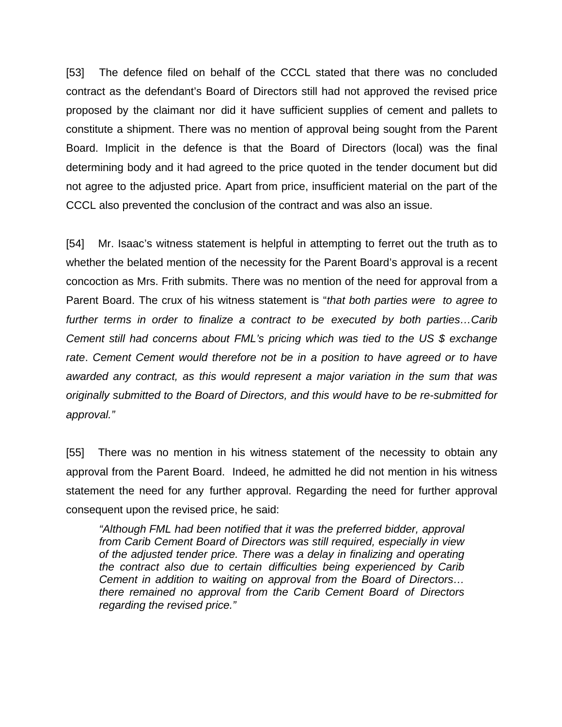[53] The defence filed on behalf of the CCCL stated that there was no concluded contract as the defendant's Board of Directors still had not approved the revised price proposed by the claimant nor did it have sufficient supplies of cement and pallets to constitute a shipment. There was no mention of approval being sought from the Parent Board. Implicit in the defence is that the Board of Directors (local) was the final determining body and it had agreed to the price quoted in the tender document but did not agree to the adjusted price. Apart from price, insufficient material on the part of the CCCL also prevented the conclusion of the contract and was also an issue.

[54] Mr. Isaac's witness statement is helpful in attempting to ferret out the truth as to whether the belated mention of the necessity for the Parent Board's approval is a recent concoction as Mrs. Frith submits. There was no mention of the need for approval from a Parent Board. The crux of his witness statement is "*that both parties were to agree to*  further terms in order to finalize a contract to be executed by both parties...Carib *Cement still had concerns about FML's pricing which was tied to the US \$ exchange rate*. *Cement Cement would therefore not be in a position to have agreed or to have awarded any contract, as this would represent a major variation in the sum that was originally submitted to the Board of Directors, and this would have to be re-submitted for approval."*

[55] There was no mention in his witness statement of the necessity to obtain any approval from the Parent Board. Indeed, he admitted he did not mention in his witness statement the need for any further approval. Regarding the need for further approval consequent upon the revised price, he said:

*"Although FML had been notified that it was the preferred bidder, approval from Carib Cement Board of Directors was still required, especially in view of the adjusted tender price. There was a delay in finalizing and operating the contract also due to certain difficulties being experienced by Carib Cement in addition to waiting on approval from the Board of Directors… there remained no approval from the Carib Cement Board of Directors regarding the revised price."*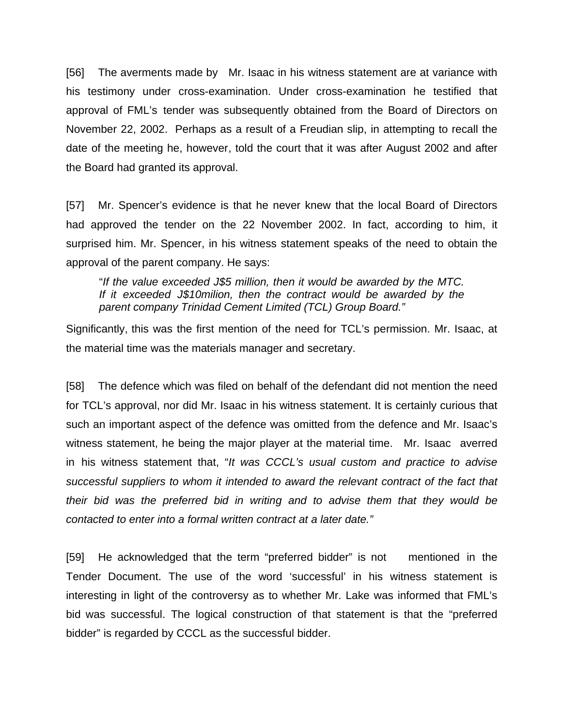[56] The averments made by Mr. Isaac in his witness statement are at variance with his testimony under cross-examination. Under cross-examination he testified that approval of FML's tender was subsequently obtained from the Board of Directors on November 22, 2002. Perhaps as a result of a Freudian slip, in attempting to recall the date of the meeting he, however, told the court that it was after August 2002 and after the Board had granted its approval.

[57] Mr. Spencer's evidence is that he never knew that the local Board of Directors had approved the tender on the 22 November 2002. In fact, according to him, it surprised him. Mr. Spencer, in his witness statement speaks of the need to obtain the approval of the parent company. He says:

"*If the value exceeded J\$5 million, then it would be awarded by the MTC. If it exceeded J\$10milion, then the contract would be awarded by the parent company Trinidad Cement Limited (TCL) Group Board."*

Significantly, this was the first mention of the need for TCL's permission. Mr. Isaac, at the material time was the materials manager and secretary.

[58] The defence which was filed on behalf of the defendant did not mention the need for TCL's approval, nor did Mr. Isaac in his witness statement. It is certainly curious that such an important aspect of the defence was omitted from the defence and Mr. Isaac's witness statement, he being the major player at the material time. Mr. Isaac averred in his witness statement that, "*It was CCCL's usual custom and practice to advise successful suppliers to whom it intended to award the relevant contract of the fact that their bid was the preferred bid in writing and to advise them that they would be contacted to enter into a formal written contract at a later date."*

[59] He acknowledged that the term "preferred bidder" is not mentioned in the Tender Document. The use of the word 'successful' in his witness statement is interesting in light of the controversy as to whether Mr. Lake was informed that FML's bid was successful. The logical construction of that statement is that the "preferred bidder" is regarded by CCCL as the successful bidder.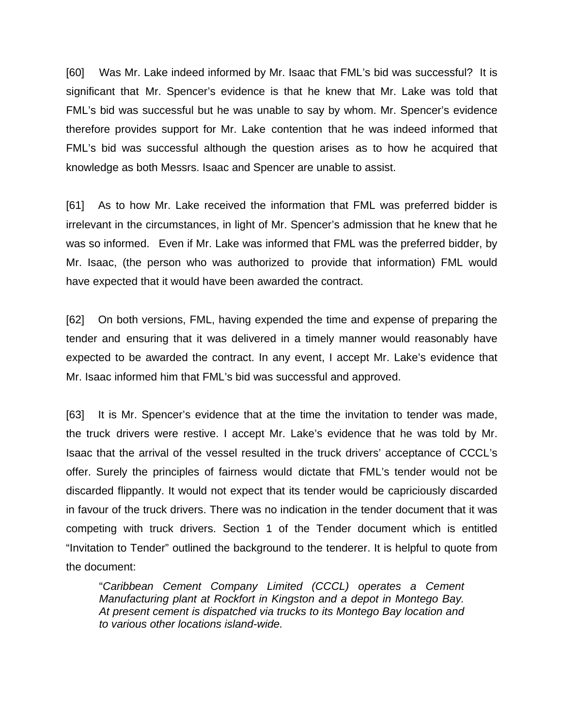[60] Was Mr. Lake indeed informed by Mr. Isaac that FML's bid was successful? It is significant that Mr. Spencer's evidence is that he knew that Mr. Lake was told that FML's bid was successful but he was unable to say by whom. Mr. Spencer's evidence therefore provides support for Mr. Lake contention that he was indeed informed that FML's bid was successful although the question arises as to how he acquired that knowledge as both Messrs. Isaac and Spencer are unable to assist.

[61] As to how Mr. Lake received the information that FML was preferred bidder is irrelevant in the circumstances, in light of Mr. Spencer's admission that he knew that he was so informed. Even if Mr. Lake was informed that FML was the preferred bidder, by Mr. Isaac, (the person who was authorized to provide that information) FML would have expected that it would have been awarded the contract.

[62] On both versions, FML, having expended the time and expense of preparing the tender and ensuring that it was delivered in a timely manner would reasonably have expected to be awarded the contract. In any event, I accept Mr. Lake's evidence that Mr. Isaac informed him that FML's bid was successful and approved.

[63] It is Mr. Spencer's evidence that at the time the invitation to tender was made, the truck drivers were restive. I accept Mr. Lake's evidence that he was told by Mr. Isaac that the arrival of the vessel resulted in the truck drivers' acceptance of CCCL's offer. Surely the principles of fairness would dictate that FML's tender would not be discarded flippantly. It would not expect that its tender would be capriciously discarded in favour of the truck drivers. There was no indication in the tender document that it was competing with truck drivers. Section 1 of the Tender document which is entitled "Invitation to Tender" outlined the background to the tenderer. It is helpful to quote from the document:

"*Caribbean Cement Company Limited (CCCL) operates a Cement Manufacturing plant at Rockfort in Kingston and a depot in Montego Bay. At present cement is dispatched via trucks to its Montego Bay location and to various other locations island-wide.*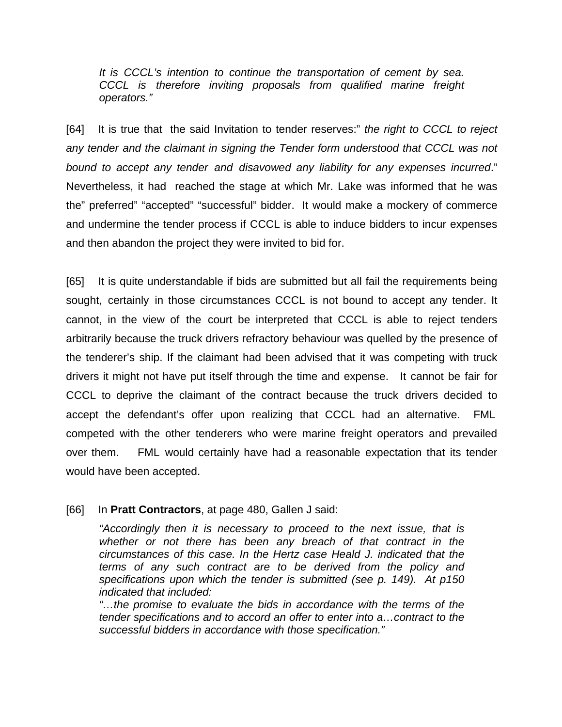*It is CCCL's intention to continue the transportation of cement by sea. CCCL is therefore inviting proposals from qualified marine freight operators."*

[64] It is true that the said Invitation to tender reserves:" *the right to CCCL to reject*  any tender and the claimant in signing the Tender form understood that CCCL was not *bound to accept any tender and disavowed any liability for any expenses incurred*." Nevertheless, it had reached the stage at which Mr. Lake was informed that he was the" preferred" "accepted" "successful" bidder. It would make a mockery of commerce and undermine the tender process if CCCL is able to induce bidders to incur expenses and then abandon the project they were invited to bid for.

[65] It is quite understandable if bids are submitted but all fail the requirements being sought, certainly in those circumstances CCCL is not bound to accept any tender. It cannot, in the view of the court be interpreted that CCCL is able to reject tenders arbitrarily because the truck drivers refractory behaviour was quelled by the presence of the tenderer's ship. If the claimant had been advised that it was competing with truck drivers it might not have put itself through the time and expense. It cannot be fair for CCCL to deprive the claimant of the contract because the truck drivers decided to accept the defendant's offer upon realizing that CCCL had an alternative. FML competed with the other tenderers who were marine freight operators and prevailed over them. FML would certainly have had a reasonable expectation that its tender would have been accepted.

# [66] In **Pratt Contractors**, at page 480, Gallen J said:

*"Accordingly then it is necessary to proceed to the next issue, that is whether or not there has been any breach of that contract in the circumstances of this case. In the Hertz case Heald J. indicated that the terms of any such contract are to be derived from the policy and specifications upon which the tender is submitted (see p. 149). At p150 indicated that included:*

*"…the promise to evaluate the bids in accordance with the terms of the tender specifications and to accord an offer to enter into a…contract to the successful bidders in accordance with those specification."*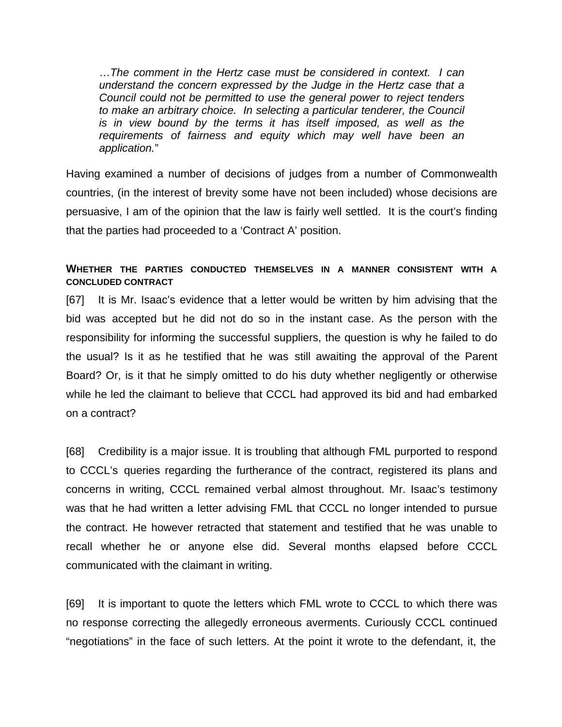…*The comment in the Hertz case must be considered in context. I can understand the concern expressed by the Judge in the Hertz case that a Council could not be permitted to use the general power to reject tenders to make an arbitrary choice. In selecting a particular tenderer, the Council is in view bound by the terms it has itself imposed, as well as the requirements of fairness and equity which may well have been an application.*"

Having examined a number of decisions of judges from a number of Commonwealth countries, (in the interest of brevity some have not been included) whose decisions are persuasive, I am of the opinion that the law is fairly well settled. It is the court's finding that the parties had proceeded to a 'Contract A' position.

## **WHETHER THE PARTIES CONDUCTED THEMSELVES IN A MANNER CONSISTENT WITH A CONCLUDED CONTRACT**

[67] It is Mr. Isaac's evidence that a letter would be written by him advising that the bid was accepted but he did not do so in the instant case. As the person with the responsibility for informing the successful suppliers, the question is why he failed to do the usual? Is it as he testified that he was still awaiting the approval of the Parent Board? Or, is it that he simply omitted to do his duty whether negligently or otherwise while he led the claimant to believe that CCCL had approved its bid and had embarked on a contract?

[68] Credibility is a major issue. It is troubling that although FML purported to respond to CCCL's queries regarding the furtherance of the contract, registered its plans and concerns in writing, CCCL remained verbal almost throughout. Mr. Isaac's testimony was that he had written a letter advising FML that CCCL no longer intended to pursue the contract. He however retracted that statement and testified that he was unable to recall whether he or anyone else did. Several months elapsed before CCCL communicated with the claimant in writing.

[69] It is important to quote the letters which FML wrote to CCCL to which there was no response correcting the allegedly erroneous averments. Curiously CCCL continued "negotiations" in the face of such letters. At the point it wrote to the defendant, it, the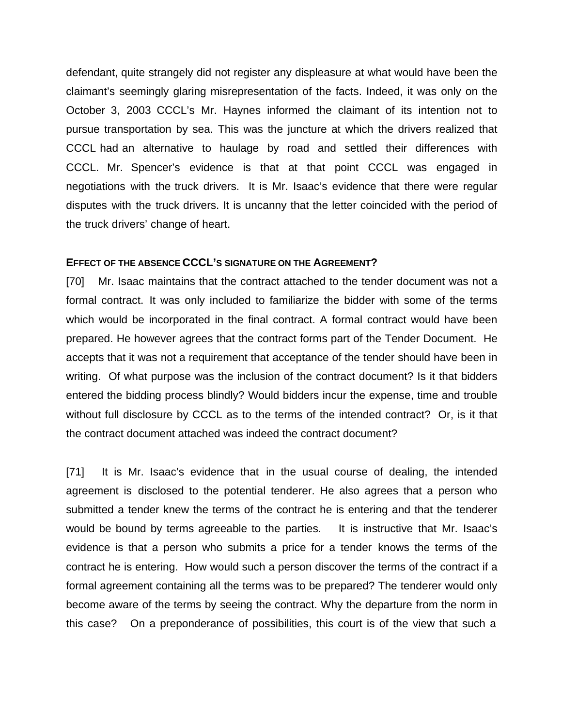defendant, quite strangely did not register any displeasure at what would have been the claimant's seemingly glaring misrepresentation of the facts. Indeed, it was only on the October 3, 2003 CCCL's Mr. Haynes informed the claimant of its intention not to pursue transportation by sea. This was the juncture at which the drivers realized that CCCL had an alternative to haulage by road and settled their differences with CCCL. Mr. Spencer's evidence is that at that point CCCL was engaged in negotiations with the truck drivers. It is Mr. Isaac's evidence that there were regular disputes with the truck drivers. It is uncanny that the letter coincided with the period of the truck drivers' change of heart.

### **EFFECT OF THE ABSENCE CCCL'S SIGNATURE ON THE AGREEMENT?**

[70] Mr. Isaac maintains that the contract attached to the tender document was not a formal contract. It was only included to familiarize the bidder with some of the terms which would be incorporated in the final contract. A formal contract would have been prepared. He however agrees that the contract forms part of the Tender Document. He accepts that it was not a requirement that acceptance of the tender should have been in writing. Of what purpose was the inclusion of the contract document? Is it that bidders entered the bidding process blindly? Would bidders incur the expense, time and trouble without full disclosure by CCCL as to the terms of the intended contract? Or, is it that the contract document attached was indeed the contract document?

[71] It is Mr. Isaac's evidence that in the usual course of dealing, the intended agreement is disclosed to the potential tenderer. He also agrees that a person who submitted a tender knew the terms of the contract he is entering and that the tenderer would be bound by terms agreeable to the parties. It is instructive that Mr. Isaac's evidence is that a person who submits a price for a tender knows the terms of the contract he is entering. How would such a person discover the terms of the contract if a formal agreement containing all the terms was to be prepared? The tenderer would only become aware of the terms by seeing the contract. Why the departure from the norm in this case? On a preponderance of possibilities, this court is of the view that such a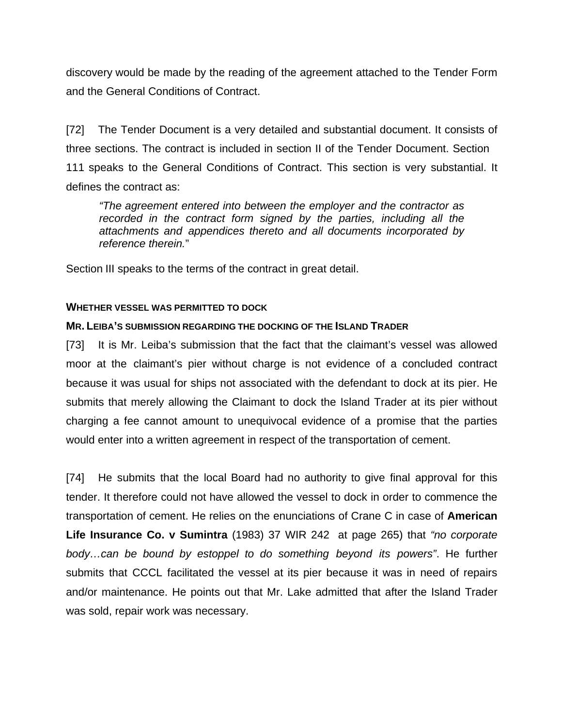discovery would be made by the reading of the agreement attached to the Tender Form and the General Conditions of Contract.

[72] The Tender Document is a very detailed and substantial document. It consists of three sections. The contract is included in section II of the Tender Document. Section 111 speaks to the General Conditions of Contract. This section is very substantial. It defines the contract as:

*"The agreement entered into between the employer and the contractor as recorded in the contract form signed by the parties, including all the attachments and appendices thereto and all documents incorporated by reference therein.*"

Section III speaks to the terms of the contract in great detail.

### **WHETHER VESSEL WAS PERMITTED TO DOCK**

### **MR. LEIBA'S SUBMISSION REGARDING THE DOCKING OF THE ISLAND TRADER**

[73] It is Mr. Leiba's submission that the fact that the claimant's vessel was allowed moor at the claimant's pier without charge is not evidence of a concluded contract because it was usual for ships not associated with the defendant to dock at its pier. He submits that merely allowing the Claimant to dock the Island Trader at its pier without charging a fee cannot amount to unequivocal evidence of a promise that the parties would enter into a written agreement in respect of the transportation of cement.

[74] He submits that the local Board had no authority to give final approval for this tender. It therefore could not have allowed the vessel to dock in order to commence the transportation of cement. He relies on the enunciations of Crane C in case of **American Life Insurance Co. v Sumintra** (1983) 37 WIR 242 at page 265) that *"no corporate body…can be bound by estoppel to do something beyond its powers"*. He further submits that CCCL facilitated the vessel at its pier because it was in need of repairs and/or maintenance. He points out that Mr. Lake admitted that after the Island Trader was sold, repair work was necessary.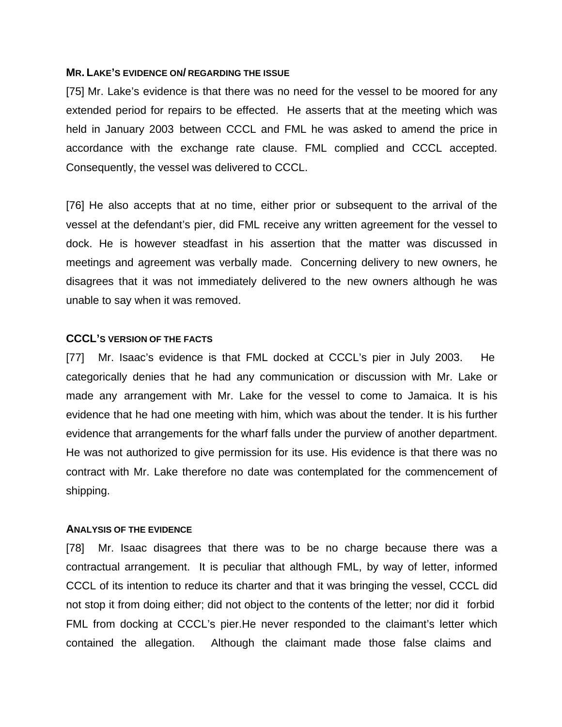#### **MR. LAKE'S EVIDENCE ON/ REGARDING THE ISSUE**

[75] Mr. Lake's evidence is that there was no need for the vessel to be moored for any extended period for repairs to be effected. He asserts that at the meeting which was held in January 2003 between CCCL and FML he was asked to amend the price in accordance with the exchange rate clause. FML complied and CCCL accepted. Consequently, the vessel was delivered to CCCL.

[76] He also accepts that at no time, either prior or subsequent to the arrival of the vessel at the defendant's pier, did FML receive any written agreement for the vessel to dock. He is however steadfast in his assertion that the matter was discussed in meetings and agreement was verbally made. Concerning delivery to new owners, he disagrees that it was not immediately delivered to the new owners although he was unable to say when it was removed.

#### **CCCL'S VERSION OF THE FACTS**

[77] Mr. Isaac's evidence is that FML docked at CCCL's pier in July 2003. He categorically denies that he had any communication or discussion with Mr. Lake or made any arrangement with Mr. Lake for the vessel to come to Jamaica. It is his evidence that he had one meeting with him, which was about the tender. It is his further evidence that arrangements for the wharf falls under the purview of another department. He was not authorized to give permission for its use. His evidence is that there was no contract with Mr. Lake therefore no date was contemplated for the commencement of shipping.

#### **ANALYSIS OF THE EVIDENCE**

[78] Mr. Isaac disagrees that there was to be no charge because there was a contractual arrangement. It is peculiar that although FML, by way of letter, informed CCCL of its intention to reduce its charter and that it was bringing the vessel, CCCL did not stop it from doing either; did not object to the contents of the letter; nor did it forbid FML from docking at CCCL's pier.He never responded to the claimant's letter which contained the allegation. Although the claimant made those false claims and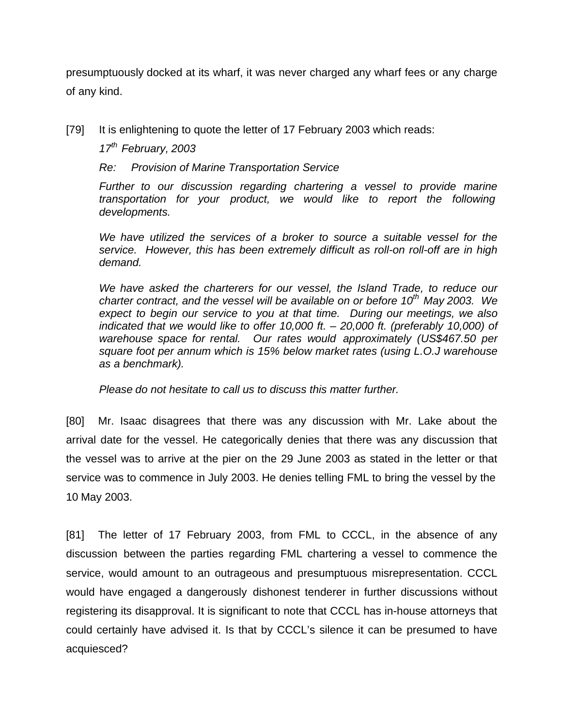presumptuously docked at its wharf, it was never charged any wharf fees or any charge of any kind.

[79] It is enlightening to quote the letter of 17 February 2003 which reads:

*17th February, 2003*

*Re: Provision of Marine Transportation Service*

*Further to our discussion regarding chartering a vessel to provide marine transportation for your product, we would like to report the following developments.*

*We have utilized the services of a broker to source a suitable vessel for the service. However, this has been extremely difficult as roll-on roll-off are in high demand.*

*We have asked the charterers for our vessel, the Island Trade, to reduce our charter contract, and the vessel will be available on or before 10th May 2003. We expect to begin our service to you at that time. During our meetings, we also indicated that we would like to offer 10,000 ft. – 20,000 ft. (preferably 10,000) of warehouse space for rental. Our rates would approximately (US\$467.50 per square foot per annum which is 15% below market rates (using L.O.J warehouse as a benchmark).*

*Please do not hesitate to call us to discuss this matter further.*

[80] Mr. Isaac disagrees that there was any discussion with Mr. Lake about the arrival date for the vessel. He categorically denies that there was any discussion that the vessel was to arrive at the pier on the 29 June 2003 as stated in the letter or that service was to commence in July 2003. He denies telling FML to bring the vessel by the 10 May 2003.

[81] The letter of 17 February 2003, from FML to CCCL, in the absence of any discussion between the parties regarding FML chartering a vessel to commence the service, would amount to an outrageous and presumptuous misrepresentation. CCCL would have engaged a dangerously dishonest tenderer in further discussions without registering its disapproval. It is significant to note that CCCL has in-house attorneys that could certainly have advised it. Is that by CCCL's silence it can be presumed to have acquiesced?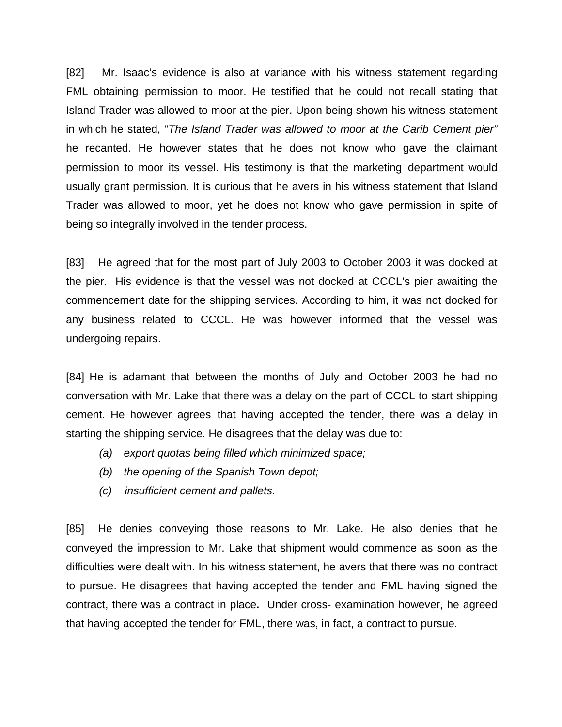[82] Mr. Isaac's evidence is also at variance with his witness statement regarding FML obtaining permission to moor. He testified that he could not recall stating that Island Trader was allowed to moor at the pier. Upon being shown his witness statement in which he stated, "*The Island Trader was allowed to moor at the Carib Cement pier"*  he recanted. He however states that he does not know who gave the claimant permission to moor its vessel. His testimony is that the marketing department would usually grant permission. It is curious that he avers in his witness statement that Island Trader was allowed to moor, yet he does not know who gave permission in spite of being so integrally involved in the tender process.

[83] He agreed that for the most part of July 2003 to October 2003 it was docked at the pier. His evidence is that the vessel was not docked at CCCL's pier awaiting the commencement date for the shipping services. According to him, it was not docked for any business related to CCCL. He was however informed that the vessel was undergoing repairs.

[84] He is adamant that between the months of July and October 2003 he had no conversation with Mr. Lake that there was a delay on the part of CCCL to start shipping cement. He however agrees that having accepted the tender, there was a delay in starting the shipping service. He disagrees that the delay was due to:

- *(a) export quotas being filled which minimized space;*
- *(b) the opening of the Spanish Town depot;*
- *(c) insufficient cement and pallets.*

[85] He denies conveying those reasons to Mr. Lake. He also denies that he conveyed the impression to Mr. Lake that shipment would commence as soon as the difficulties were dealt with. In his witness statement, he avers that there was no contract to pursue. He disagrees that having accepted the tender and FML having signed the contract, there was a contract in place**.** Under cross- examination however, he agreed that having accepted the tender for FML, there was, in fact, a contract to pursue.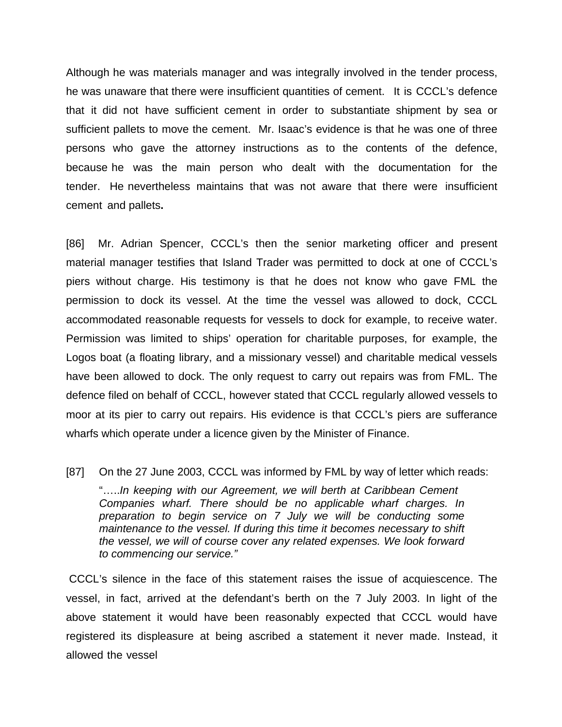Although he was materials manager and was integrally involved in the tender process, he was unaware that there were insufficient quantities of cement. It is CCCL's defence that it did not have sufficient cement in order to substantiate shipment by sea or sufficient pallets to move the cement. Mr. Isaac's evidence is that he was one of three persons who gave the attorney instructions as to the contents of the defence, because he was the main person who dealt with the documentation for the tender. He nevertheless maintains that was not aware that there were insufficient cement and pallets**.**

[86] Mr. Adrian Spencer, CCCL's then the senior marketing officer and present material manager testifies that Island Trader was permitted to dock at one of CCCL's piers without charge. His testimony is that he does not know who gave FML the permission to dock its vessel. At the time the vessel was allowed to dock, CCCL accommodated reasonable requests for vessels to dock for example, to receive water. Permission was limited to ships' operation for charitable purposes, for example, the Logos boat (a floating library, and a missionary vessel) and charitable medical vessels have been allowed to dock. The only request to carry out repairs was from FML. The defence filed on behalf of CCCL, however stated that CCCL regularly allowed vessels to moor at its pier to carry out repairs. His evidence is that CCCL's piers are sufferance wharfs which operate under a licence given by the Minister of Finance.

[87] On the 27 June 2003, CCCL was informed by FML by way of letter which reads:

"…..*In keeping with our Agreement, we will berth at Caribbean Cement Companies wharf. There should be no applicable wharf charges. In preparation to begin service on 7 July we will be conducting some maintenance to the vessel. If during this time it becomes necessary to shift the vessel, we will of course cover any related expenses. We look forward to commencing our service."*

CCCL's silence in the face of this statement raises the issue of acquiescence. The vessel, in fact, arrived at the defendant's berth on the 7 July 2003. In light of the above statement it would have been reasonably expected that CCCL would have registered its displeasure at being ascribed a statement it never made. Instead, it allowed the vessel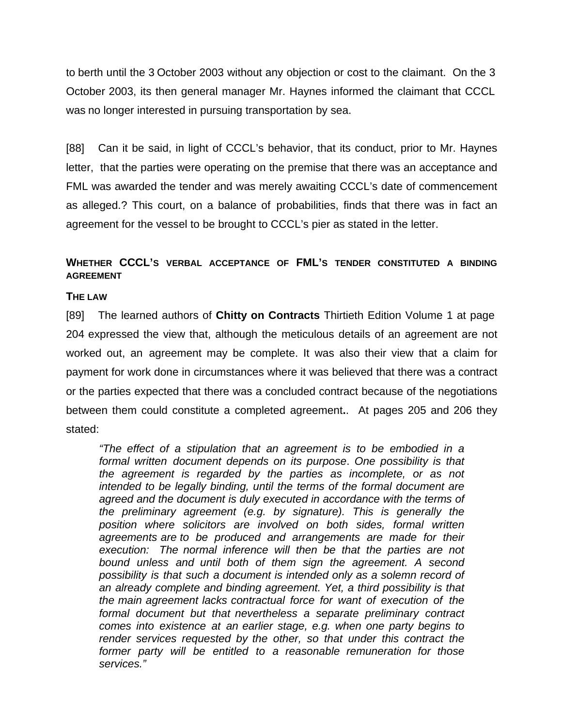to berth until the 3 October 2003 without any objection or cost to the claimant. On the 3 October 2003, its then general manager Mr. Haynes informed the claimant that CCCL was no longer interested in pursuing transportation by sea.

[88] Can it be said, in light of CCCL's behavior, that its conduct, prior to Mr. Haynes letter, that the parties were operating on the premise that there was an acceptance and FML was awarded the tender and was merely awaiting CCCL's date of commencement as alleged.? This court, on a balance of probabilities, finds that there was in fact an agreement for the vessel to be brought to CCCL's pier as stated in the letter.

# **WHETHER CCCL'S VERBAL ACCEPTANCE OF FML'S TENDER CONSTITUTED A BINDING AGREEMENT**

### **THE LAW**

[89] The learned authors of **Chitty on Contracts** Thirtieth Edition Volume 1 at page 204 expressed the view that, although the meticulous details of an agreement are not worked out, an agreement may be complete. It was also their view that a claim for payment for work done in circumstances where it was believed that there was a contract or the parties expected that there was a concluded contract because of the negotiations between them could constitute a completed agreement**.**. At pages 205 and 206 they stated:

*"The effect of a stipulation that an agreement is to be embodied in a formal written document depends on its purpose*. *One possibility is that the agreement is regarded by the parties as incomplete, or as not intended to be legally binding, until the terms of the formal document are agreed and the document is duly executed in accordance with the terms of the preliminary agreement (e.g. by signature). This is generally the position where solicitors are involved on both sides, formal written agreements are to be produced and arrangements are made for their execution: The normal inference will then be that the parties are not bound unless and until both of them sign the agreement. A second possibility is that such a document is intended only as a solemn record of an already complete and binding agreement. Yet, a third possibility is that the main agreement lacks contractual force for want of execution of the formal document but that nevertheless a separate preliminary contract comes into existence at an earlier stage, e.g. when one party begins to render services requested by the other, so that under this contract the former party will be entitled to a reasonable remuneration for those services."*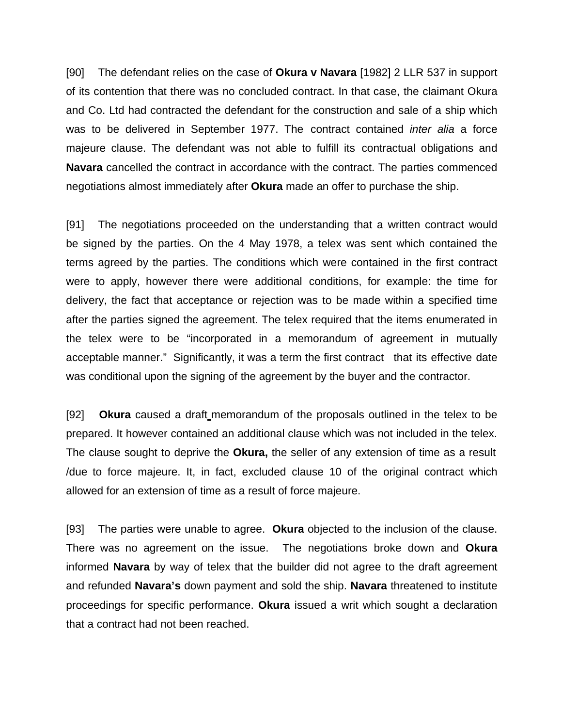[90] The defendant relies on the case of **Okura v Navara** [1982] 2 LLR 537 in support of its contention that there was no concluded contract. In that case, the claimant Okura and Co. Ltd had contracted the defendant for the construction and sale of a ship which was to be delivered in September 1977. The contract contained *inter alia* a force majeure clause. The defendant was not able to fulfill its contractual obligations and **Navara** cancelled the contract in accordance with the contract. The parties commenced negotiations almost immediately after **Okura** made an offer to purchase the ship.

[91] The negotiations proceeded on the understanding that a written contract would be signed by the parties. On the 4 May 1978, a telex was sent which contained the terms agreed by the parties. The conditions which were contained in the first contract were to apply, however there were additional conditions, for example: the time for delivery, the fact that acceptance or rejection was to be made within a specified time after the parties signed the agreement. The telex required that the items enumerated in the telex were to be "incorporated in a memorandum of agreement in mutually acceptable manner." Significantly, it was a term the first contract that its effective date was conditional upon the signing of the agreement by the buyer and the contractor.

[92] **Okura** caused a draft memorandum of the proposals outlined in the telex to be prepared. It however contained an additional clause which was not included in the telex. The clause sought to deprive the **Okura,** the seller of any extension of time as a result /due to force majeure. It, in fact, excluded clause 10 of the original contract which allowed for an extension of time as a result of force majeure.

[93] The parties were unable to agree. **Okura** objected to the inclusion of the clause. There was no agreement on the issue. The negotiations broke down and **Okura**  informed **Navara** by way of telex that the builder did not agree to the draft agreement and refunded **Navara's** down payment and sold the ship. **Navara** threatened to institute proceedings for specific performance. **Okura** issued a writ which sought a declaration that a contract had not been reached.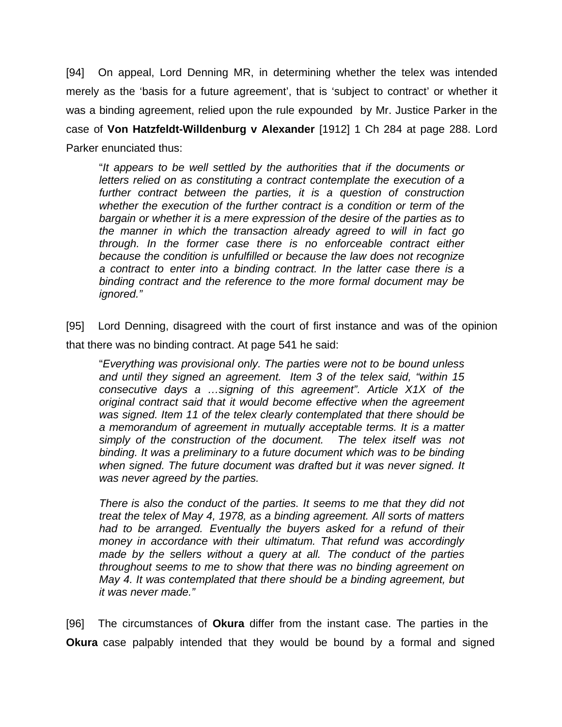[94] On appeal, Lord Denning MR, in determining whether the telex was intended merely as the 'basis for a future agreement', that is 'subject to contract' or whether it was a binding agreement, relied upon the rule expounded by Mr. Justice Parker in the case of **Von Hatzfeldt-Willdenburg v Alexander** [1912] 1 Ch 284 at page 288. Lord Parker enunciated thus:

"*It appears to be well settled by the authorities that if the documents or letters relied on as constituting a contract contemplate the execution of a*  further contract between the parties, it is a question of construction *whether the execution of the further contract is a condition or term of the bargain or whether it is a mere expression of the desire of the parties as to the manner in which the transaction already agreed to will in fact go through. In the former case there is no enforceable contract either because the condition is unfulfilled or because the law does not recognize a contract to enter into a binding contract. In the latter case there is a binding contract and the reference to the more formal document may be ignored."*

[95] Lord Denning, disagreed with the court of first instance and was of the opinion that there was no binding contract. At page 541 he said:

"*Everything was provisional only. The parties were not to be bound unless and until they signed an agreement. Item 3 of the telex said, "within 15 consecutive days a …signing of this agreement". Article X1X of the original contract said that it would become effective when the agreement was signed. Item 11 of the telex clearly contemplated that there should be a memorandum of agreement in mutually acceptable terms. It is a matter simply of the construction of the document. The telex itself was not binding. It was a preliminary to a future document which was to be binding when signed. The future document was drafted but it was never signed. It was never agreed by the parties.*

*There is also the conduct of the parties. It seems to me that they did not treat the telex of May 4, 1978, as a binding agreement. All sorts of matters had to be arranged. Eventually the buyers asked for a refund of their money in accordance with their ultimatum. That refund was accordingly made by the sellers without a query at all. The conduct of the parties throughout seems to me to show that there was no binding agreement on May 4. It was contemplated that there should be a binding agreement, but it was never made."*

[96] The circumstances of **Okura** differ from the instant case. The parties in the **Okura** case palpably intended that they would be bound by a formal and signed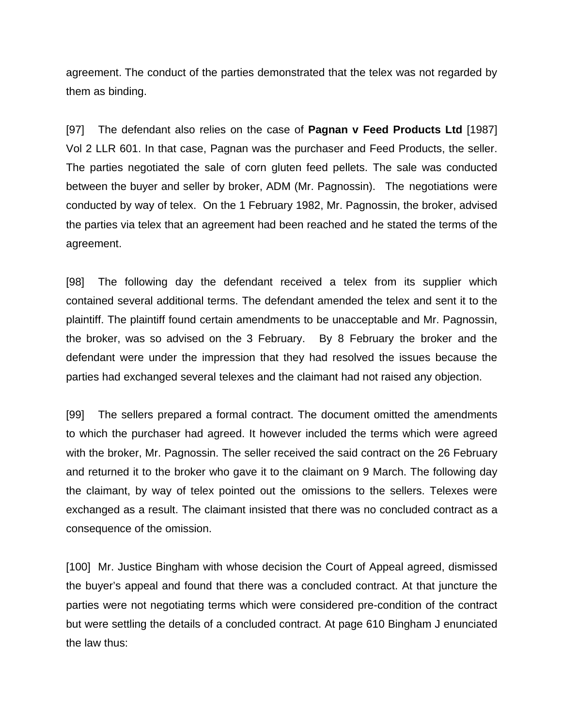agreement. The conduct of the parties demonstrated that the telex was not regarded by them as binding.

[97] The defendant also relies on the case of **Pagnan v Feed Products Ltd** [1987] Vol 2 LLR 601. In that case, Pagnan was the purchaser and Feed Products, the seller. The parties negotiated the sale of corn gluten feed pellets. The sale was conducted between the buyer and seller by broker, ADM (Mr. Pagnossin). The negotiations were conducted by way of telex. On the 1 February 1982, Mr. Pagnossin, the broker, advised the parties via telex that an agreement had been reached and he stated the terms of the agreement.

[98] The following day the defendant received a telex from its supplier which contained several additional terms. The defendant amended the telex and sent it to the plaintiff. The plaintiff found certain amendments to be unacceptable and Mr. Pagnossin, the broker, was so advised on the 3 February. By 8 February the broker and the defendant were under the impression that they had resolved the issues because the parties had exchanged several telexes and the claimant had not raised any objection.

[99] The sellers prepared a formal contract. The document omitted the amendments to which the purchaser had agreed. It however included the terms which were agreed with the broker, Mr. Pagnossin. The seller received the said contract on the 26 February and returned it to the broker who gave it to the claimant on 9 March. The following day the claimant, by way of telex pointed out the omissions to the sellers. Telexes were exchanged as a result. The claimant insisted that there was no concluded contract as a consequence of the omission.

[100] Mr. Justice Bingham with whose decision the Court of Appeal agreed, dismissed the buyer's appeal and found that there was a concluded contract. At that juncture the parties were not negotiating terms which were considered pre-condition of the contract but were settling the details of a concluded contract. At page 610 Bingham J enunciated the law thus: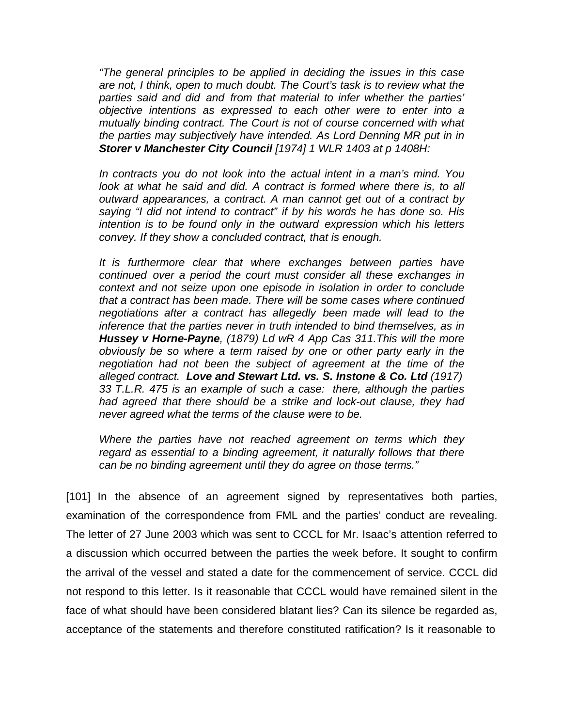*"The general principles to be applied in deciding the issues in this case are not, I think, open to much doubt. The Court's task is to review what the parties said and did and from that material to infer whether the parties' objective intentions as expressed to each other were to enter into a mutually binding contract. The Court is not of course concerned with what*  the parties may subjectively have intended. As Lord Denning MR put in in *Storer v Manchester City Council [1974] 1 WLR 1403 at p 1408H:*

*In contracts you do not look into the actual intent in a man's mind. You*  look at what he said and did. A contract is formed where there is, to all *outward appearances, a contract. A man cannot get out of a contract by saying "I did not intend to contract" if by his words he has done so. His intention is to be found only in the outward expression which his letters convey. If they show a concluded contract, that is enough.*

*It is furthermore clear that where exchanges between parties have continued over a period the court must consider all these exchanges in context and not seize upon one episode in isolation in order to conclude that a contract has been made. There will be some cases where continued negotiations after a contract has allegedly been made will lead to the inference that the parties never in truth intended to bind themselves, as in Hussey v Horne-Payne, (1879) Ld wR 4 App Cas 311.This will the more obviously be so where a term raised by one or other party early in the negotiation had not been the subject of agreement at the time of the alleged contract. Love and Stewart Ltd. vs. S. Instone & Co. Ltd (1917) 33 T.L.R. 475 is an example of such a case: there, although the parties had agreed that there should be a strike and lock-out clause, they had never agreed what the terms of the clause were to be.*

*Where the parties have not reached agreement on terms which they regard as essential to a binding agreement, it naturally follows that there can be no binding agreement until they do agree on those terms."*

[101] In the absence of an agreement signed by representatives both parties, examination of the correspondence from FML and the parties' conduct are revealing. The letter of 27 June 2003 which was sent to CCCL for Mr. Isaac's attention referred to a discussion which occurred between the parties the week before. It sought to confirm the arrival of the vessel and stated a date for the commencement of service. CCCL did not respond to this letter. Is it reasonable that CCCL would have remained silent in the face of what should have been considered blatant lies? Can its silence be regarded as, acceptance of the statements and therefore constituted ratification? Is it reasonable to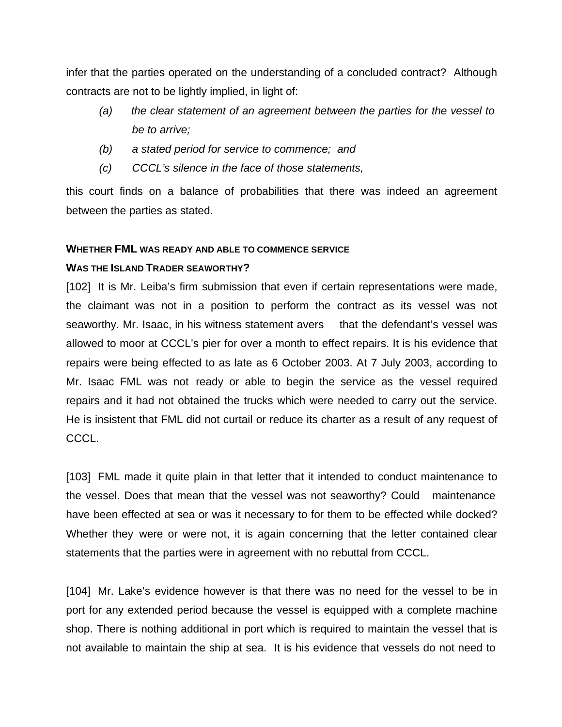infer that the parties operated on the understanding of a concluded contract? Although contracts are not to be lightly implied, in light of:

- *(a) the clear statement of an agreement between the parties for the vessel to be to arrive;*
- *(b) a stated period for service to commence; and*
- *(c) CCCL's silence in the face of those statements,*

this court finds on a balance of probabilities that there was indeed an agreement between the parties as stated.

### **WHETHER FML WAS READY AND ABLE TO COMMENCE SERVICE**

# **WAS THE ISLAND TRADER SEAWORTHY?**

[102] It is Mr. Leiba's firm submission that even if certain representations were made, the claimant was not in a position to perform the contract as its vessel was not seaworthy. Mr. Isaac, in his witness statement avers that the defendant's vessel was allowed to moor at CCCL's pier for over a month to effect repairs. It is his evidence that repairs were being effected to as late as 6 October 2003. At 7 July 2003, according to Mr. Isaac FML was not ready or able to begin the service as the vessel required repairs and it had not obtained the trucks which were needed to carry out the service. He is insistent that FML did not curtail or reduce its charter as a result of any request of CCCL.

[103] FML made it quite plain in that letter that it intended to conduct maintenance to the vessel. Does that mean that the vessel was not seaworthy? Could maintenance have been effected at sea or was it necessary to for them to be effected while docked? Whether they were or were not, it is again concerning that the letter contained clear statements that the parties were in agreement with no rebuttal from CCCL.

[104] Mr. Lake's evidence however is that there was no need for the vessel to be in port for any extended period because the vessel is equipped with a complete machine shop. There is nothing additional in port which is required to maintain the vessel that is not available to maintain the ship at sea. It is his evidence that vessels do not need to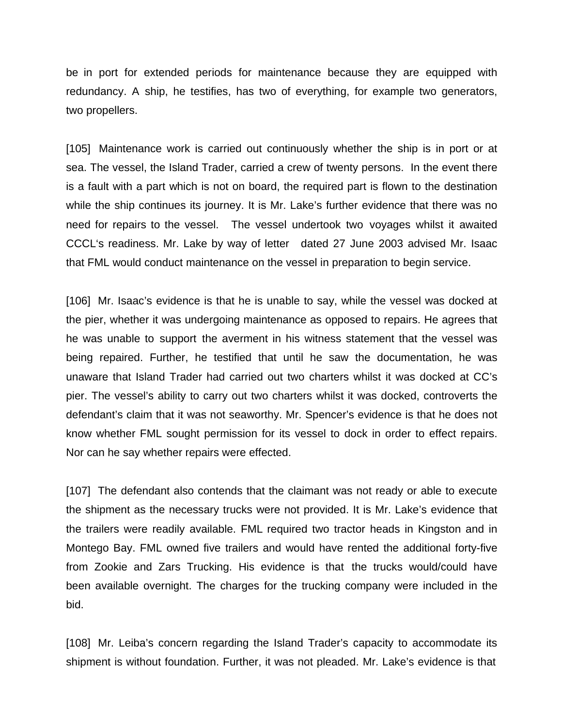be in port for extended periods for maintenance because they are equipped with redundancy. A ship, he testifies, has two of everything, for example two generators, two propellers.

[105] Maintenance work is carried out continuously whether the ship is in port or at sea. The vessel, the Island Trader, carried a crew of twenty persons. In the event there is a fault with a part which is not on board, the required part is flown to the destination while the ship continues its journey. It is Mr. Lake's further evidence that there was no need for repairs to the vessel. The vessel undertook two voyages whilst it awaited CCCL's readiness. Mr. Lake by way of letter dated 27 June 2003 advised Mr. Isaac that FML would conduct maintenance on the vessel in preparation to begin service.

[106] Mr. Isaac's evidence is that he is unable to say, while the vessel was docked at the pier, whether it was undergoing maintenance as opposed to repairs. He agrees that he was unable to support the averment in his witness statement that the vessel was being repaired. Further, he testified that until he saw the documentation, he was unaware that Island Trader had carried out two charters whilst it was docked at CC's pier. The vessel's ability to carry out two charters whilst it was docked, controverts the defendant's claim that it was not seaworthy. Mr. Spencer's evidence is that he does not know whether FML sought permission for its vessel to dock in order to effect repairs. Nor can he say whether repairs were effected.

[107] The defendant also contends that the claimant was not ready or able to execute the shipment as the necessary trucks were not provided. It is Mr. Lake's evidence that the trailers were readily available. FML required two tractor heads in Kingston and in Montego Bay. FML owned five trailers and would have rented the additional forty-five from Zookie and Zars Trucking. His evidence is that the trucks would/could have been available overnight. The charges for the trucking company were included in the bid.

[108] Mr. Leiba's concern regarding the Island Trader's capacity to accommodate its shipment is without foundation. Further, it was not pleaded. Mr. Lake's evidence is that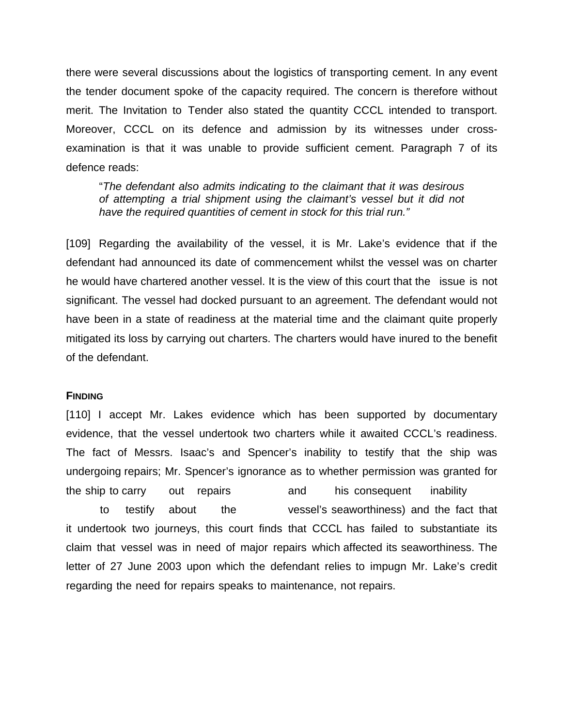there were several discussions about the logistics of transporting cement. In any event the tender document spoke of the capacity required. The concern is therefore without merit. The Invitation to Tender also stated the quantity CCCL intended to transport. Moreover, CCCL on its defence and admission by its witnesses under crossexamination is that it was unable to provide sufficient cement. Paragraph 7 of its defence reads:

"*The defendant also admits indicating to the claimant that it was desirous of attempting a trial shipment using the claimant's vessel but it did not have the required quantities of cement in stock for this trial run."*

[109] Regarding the availability of the vessel, it is Mr. Lake's evidence that if the defendant had announced its date of commencement whilst the vessel was on charter he would have chartered another vessel. It is the view of this court that the issue is not significant. The vessel had docked pursuant to an agreement. The defendant would not have been in a state of readiness at the material time and the claimant quite properly mitigated its loss by carrying out charters. The charters would have inured to the benefit of the defendant.

#### **FINDING**

[110] I accept Mr. Lakes evidence which has been supported by documentary evidence, that the vessel undertook two charters while it awaited CCCL's readiness. The fact of Messrs. Isaac's and Spencer's inability to testify that the ship was undergoing repairs; Mr. Spencer's ignorance as to whether permission was granted for the ship to carry out repairs and his consequent inability to testify about the vessel's seaworthiness) and the fact that it undertook two journeys, this court finds that CCCL has failed to substantiate its claim that vessel was in need of major repairs which affected its seaworthiness. The letter of 27 June 2003 upon which the defendant relies to impugn Mr. Lake's credit regarding the need for repairs speaks to maintenance, not repairs.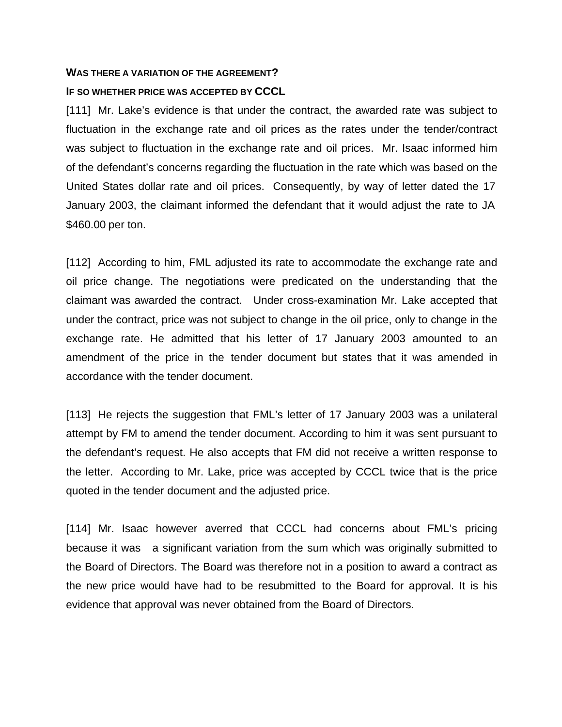### **WAS THERE A VARIATION OF THE AGREEMENT?**

### **IF SO WHETHER PRICE WAS ACCEPTED BY CCCL**

[111] Mr. Lake's evidence is that under the contract, the awarded rate was subject to fluctuation in the exchange rate and oil prices as the rates under the tender/contract was subject to fluctuation in the exchange rate and oil prices. Mr. Isaac informed him of the defendant's concerns regarding the fluctuation in the rate which was based on the United States dollar rate and oil prices. Consequently, by way of letter dated the 17 January 2003, the claimant informed the defendant that it would adjust the rate to JA \$460.00 per ton.

[112] According to him, FML adjusted its rate to accommodate the exchange rate and oil price change. The negotiations were predicated on the understanding that the claimant was awarded the contract. Under cross-examination Mr. Lake accepted that under the contract, price was not subject to change in the oil price, only to change in the exchange rate. He admitted that his letter of 17 January 2003 amounted to an amendment of the price in the tender document but states that it was amended in accordance with the tender document.

[113] He rejects the suggestion that FML's letter of 17 January 2003 was a unilateral attempt by FM to amend the tender document. According to him it was sent pursuant to the defendant's request. He also accepts that FM did not receive a written response to the letter. According to Mr. Lake, price was accepted by CCCL twice that is the price quoted in the tender document and the adjusted price.

[114] Mr. Isaac however averred that CCCL had concerns about FML's pricing because it was a significant variation from the sum which was originally submitted to the Board of Directors. The Board was therefore not in a position to award a contract as the new price would have had to be resubmitted to the Board for approval. It is his evidence that approval was never obtained from the Board of Directors.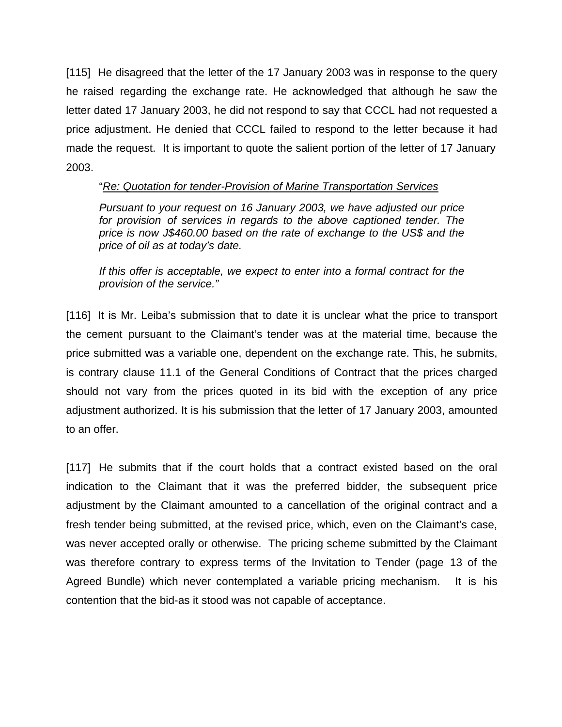[115] He disagreed that the letter of the 17 January 2003 was in response to the query he raised regarding the exchange rate. He acknowledged that although he saw the letter dated 17 January 2003, he did not respond to say that CCCL had not requested a price adjustment. He denied that CCCL failed to respond to the letter because it had made the request. It is important to quote the salient portion of the letter of 17 January 2003.

# "*Re: Quotation for tender-Provision of Marine Transportation Services*

*Pursuant to your request on 16 January 2003, we have adjusted our price for provision of services in regards to the above captioned tender. The price is now J\$460.00 based on the rate of exchange to the US\$ and the price of oil as at today's date.*

*If this offer is acceptable, we expect to enter into a formal contract for the provision of the service."*

[116] It is Mr. Leiba's submission that to date it is unclear what the price to transport the cement pursuant to the Claimant's tender was at the material time, because the price submitted was a variable one, dependent on the exchange rate. This, he submits, is contrary clause 11.1 of the General Conditions of Contract that the prices charged should not vary from the prices quoted in its bid with the exception of any price adjustment authorized. It is his submission that the letter of 17 January 2003, amounted to an offer.

[117] He submits that if the court holds that a contract existed based on the oral indication to the Claimant that it was the preferred bidder, the subsequent price adjustment by the Claimant amounted to a cancellation of the original contract and a fresh tender being submitted, at the revised price, which, even on the Claimant's case, was never accepted orally or otherwise. The pricing scheme submitted by the Claimant was therefore contrary to express terms of the Invitation to Tender (page 13 of the Agreed Bundle) which never contemplated a variable pricing mechanism. It is his contention that the bid-as it stood was not capable of acceptance.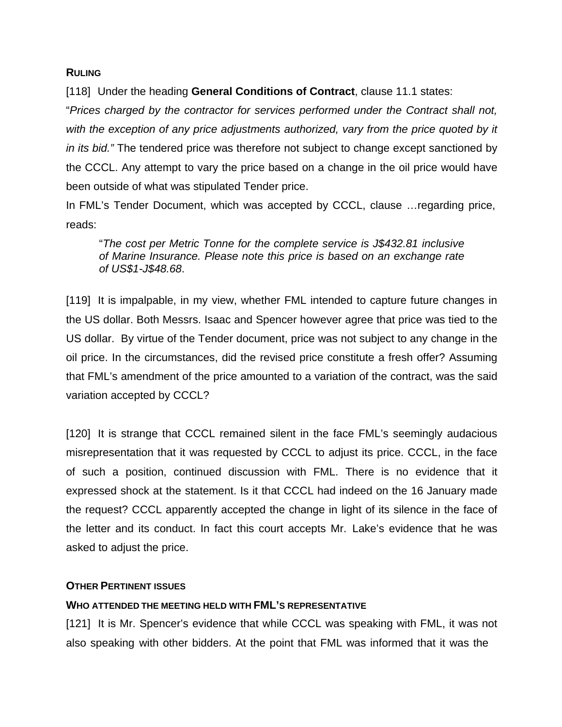### **RULING**

[118] Under the heading **General Conditions of Contract**, clause 11.1 states:

"*Prices charged by the contractor for services performed under the Contract shall not,*  with the exception of any price adjustments authorized, vary from the price quoted by it *in its bid."* The tendered price was therefore not subject to change except sanctioned by the CCCL. Any attempt to vary the price based on a change in the oil price would have been outside of what was stipulated Tender price.

In FML's Tender Document, which was accepted by CCCL, clause …regarding price, reads:

"*The cost per Metric Tonne for the complete service is J\$432.81 inclusive of Marine Insurance. Please note this price is based on an exchange rate of US\$1-J\$48.68*.

[119] It is impalpable, in my view, whether FML intended to capture future changes in the US dollar. Both Messrs. Isaac and Spencer however agree that price was tied to the US dollar. By virtue of the Tender document, price was not subject to any change in the oil price. In the circumstances, did the revised price constitute a fresh offer? Assuming that FML's amendment of the price amounted to a variation of the contract, was the said variation accepted by CCCL?

[120] It is strange that CCCL remained silent in the face FML's seemingly audacious misrepresentation that it was requested by CCCL to adjust its price. CCCL, in the face of such a position, continued discussion with FML. There is no evidence that it expressed shock at the statement. Is it that CCCL had indeed on the 16 January made the request? CCCL apparently accepted the change in light of its silence in the face of the letter and its conduct. In fact this court accepts Mr. Lake's evidence that he was asked to adjust the price.

# **OTHER PERTINENT ISSUES**

# **WHO ATTENDED THE MEETING HELD WITH FML'S REPRESENTATIVE**

[121] It is Mr. Spencer's evidence that while CCCL was speaking with FML, it was not also speaking with other bidders. At the point that FML was informed that it was the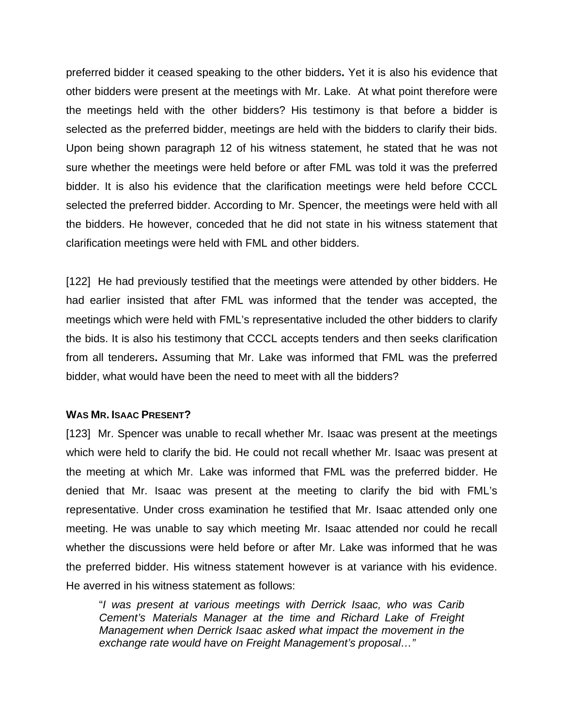preferred bidder it ceased speaking to the other bidders**.** Yet it is also his evidence that other bidders were present at the meetings with Mr. Lake. At what point therefore were the meetings held with the other bidders? His testimony is that before a bidder is selected as the preferred bidder, meetings are held with the bidders to clarify their bids. Upon being shown paragraph 12 of his witness statement, he stated that he was not sure whether the meetings were held before or after FML was told it was the preferred bidder. It is also his evidence that the clarification meetings were held before CCCL selected the preferred bidder. According to Mr. Spencer, the meetings were held with all the bidders. He however, conceded that he did not state in his witness statement that clarification meetings were held with FML and other bidders.

[122] He had previously testified that the meetings were attended by other bidders. He had earlier insisted that after FML was informed that the tender was accepted, the meetings which were held with FML's representative included the other bidders to clarify the bids. It is also his testimony that CCCL accepts tenders and then seeks clarification from all tenderers**.** Assuming that Mr. Lake was informed that FML was the preferred bidder, what would have been the need to meet with all the bidders?

# **WAS MR. ISAAC PRESENT?**

[123] Mr. Spencer was unable to recall whether Mr. Isaac was present at the meetings which were held to clarify the bid. He could not recall whether Mr. Isaac was present at the meeting at which Mr. Lake was informed that FML was the preferred bidder. He denied that Mr. Isaac was present at the meeting to clarify the bid with FML's representative. Under cross examination he testified that Mr. Isaac attended only one meeting. He was unable to say which meeting Mr. Isaac attended nor could he recall whether the discussions were held before or after Mr. Lake was informed that he was the preferred bidder. His witness statement however is at variance with his evidence. He averred in his witness statement as follows:

"*I was present at various meetings with Derrick Isaac, who was Carib Cement's Materials Manager at the time and Richard Lake of Freight Management when Derrick Isaac asked what impact the movement in the exchange rate would have on Freight Management's proposal…"*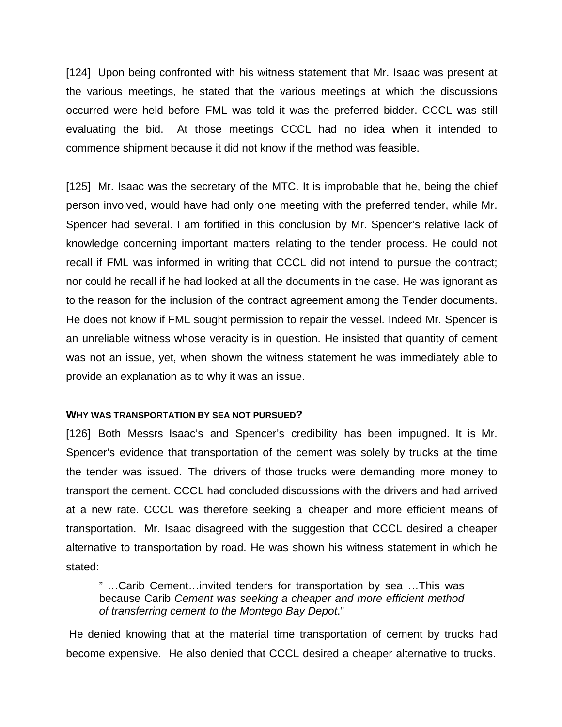[124] Upon being confronted with his witness statement that Mr. Isaac was present at the various meetings, he stated that the various meetings at which the discussions occurred were held before FML was told it was the preferred bidder. CCCL was still evaluating the bid. At those meetings CCCL had no idea when it intended to commence shipment because it did not know if the method was feasible.

[125] Mr. Isaac was the secretary of the MTC. It is improbable that he, being the chief person involved, would have had only one meeting with the preferred tender, while Mr. Spencer had several. I am fortified in this conclusion by Mr. Spencer's relative lack of knowledge concerning important matters relating to the tender process. He could not recall if FML was informed in writing that CCCL did not intend to pursue the contract; nor could he recall if he had looked at all the documents in the case. He was ignorant as to the reason for the inclusion of the contract agreement among the Tender documents. He does not know if FML sought permission to repair the vessel. Indeed Mr. Spencer is an unreliable witness whose veracity is in question. He insisted that quantity of cement was not an issue, yet, when shown the witness statement he was immediately able to provide an explanation as to why it was an issue.

#### **WHY WAS TRANSPORTATION BY SEA NOT PURSUED?**

[126] Both Messrs Isaac's and Spencer's credibility has been impugned. It is Mr. Spencer's evidence that transportation of the cement was solely by trucks at the time the tender was issued. The drivers of those trucks were demanding more money to transport the cement. CCCL had concluded discussions with the drivers and had arrived at a new rate. CCCL was therefore seeking a cheaper and more efficient means of transportation. Mr. Isaac disagreed with the suggestion that CCCL desired a cheaper alternative to transportation by road. He was shown his witness statement in which he stated:

" …Carib Cement…invited tenders for transportation by sea …This was because Carib *Cement was seeking a cheaper and more efficient method of transferring cement to the Montego Bay Depot*."

He denied knowing that at the material time transportation of cement by trucks had become expensive. He also denied that CCCL desired a cheaper alternative to trucks.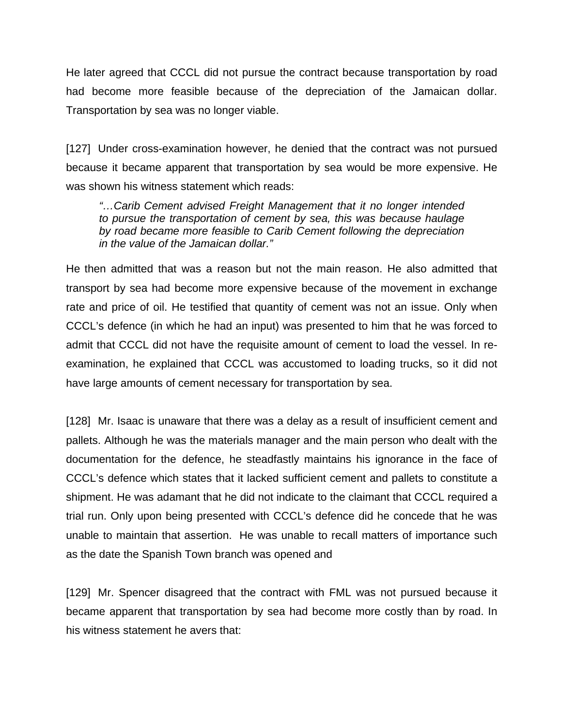He later agreed that CCCL did not pursue the contract because transportation by road had become more feasible because of the depreciation of the Jamaican dollar. Transportation by sea was no longer viable.

[127] Under cross-examination however, he denied that the contract was not pursued because it became apparent that transportation by sea would be more expensive. He was shown his witness statement which reads:

*"…Carib Cement advised Freight Management that it no longer intended to pursue the transportation of cement by sea, this was because haulage by road became more feasible to Carib Cement following the depreciation in the value of the Jamaican dollar."*

He then admitted that was a reason but not the main reason. He also admitted that transport by sea had become more expensive because of the movement in exchange rate and price of oil. He testified that quantity of cement was not an issue. Only when CCCL's defence (in which he had an input) was presented to him that he was forced to admit that CCCL did not have the requisite amount of cement to load the vessel. In reexamination, he explained that CCCL was accustomed to loading trucks, so it did not have large amounts of cement necessary for transportation by sea.

[128] Mr. Isaac is unaware that there was a delay as a result of insufficient cement and pallets. Although he was the materials manager and the main person who dealt with the documentation for the defence, he steadfastly maintains his ignorance in the face of CCCL's defence which states that it lacked sufficient cement and pallets to constitute a shipment. He was adamant that he did not indicate to the claimant that CCCL required a trial run. Only upon being presented with CCCL's defence did he concede that he was unable to maintain that assertion. He was unable to recall matters of importance such as the date the Spanish Town branch was opened and

[129] Mr. Spencer disagreed that the contract with FML was not pursued because it became apparent that transportation by sea had become more costly than by road. In his witness statement he avers that: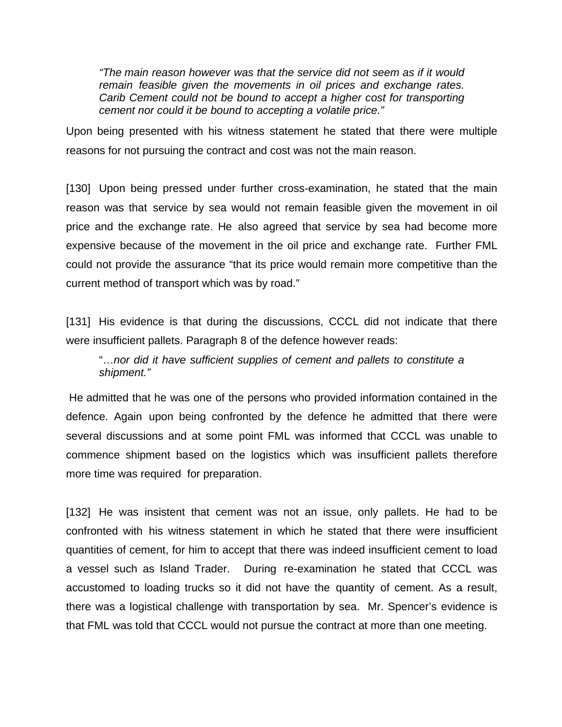*"The main reason however was that the service did not seem as if it would remain feasible given the movements in oil prices and exchange rates. Carib Cement could not be bound to accept a higher cost for transporting cement nor could it be bound to accepting a volatile price."*

Upon being presented with his witness statement he stated that there were multiple reasons for not pursuing the contract and cost was not the main reason.

[130] Upon being pressed under further cross-examination, he stated that the main reason was that service by sea would not remain feasible given the movement in oil price and the exchange rate. He also agreed that service by sea had become more expensive because of the movement in the oil price and exchange rate. Further FML could not provide the assurance "that its price would remain more competitive than the current method of transport which was by road."

[131] His evidence is that during the discussions, CCCL did not indicate that there were insufficient pallets. Paragraph 8 of the defence however reads:

"…*nor did it have sufficient supplies of cement and pallets to constitute a shipment."*

He admitted that he was one of the persons who provided information contained in the defence. Again upon being confronted by the defence he admitted that there were several discussions and at some point FML was informed that CCCL was unable to commence shipment based on the logistics which was insufficient pallets therefore more time was required for preparation.

[132] He was insistent that cement was not an issue, only pallets. He had to be confronted with his witness statement in which he stated that there were insufficient quantities of cement, for him to accept that there was indeed insufficient cement to load a vessel such as Island Trader. During re-examination he stated that CCCL was accustomed to loading trucks so it did not have the quantity of cement. As a result, there was a logistical challenge with transportation by sea. Mr. Spencer's evidence is that FML was told that CCCL would not pursue the contract at more than one meeting.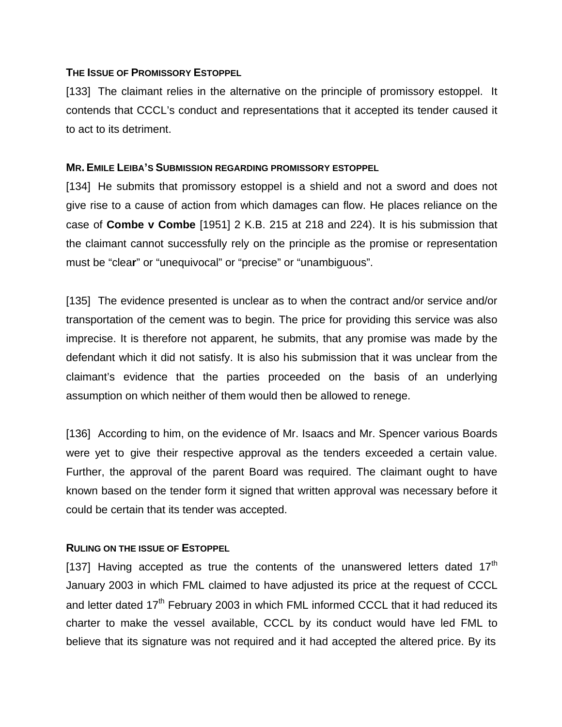### **THE ISSUE OF PROMISSORY ESTOPPEL**

[133] The claimant relies in the alternative on the principle of promissory estoppel. It contends that CCCL's conduct and representations that it accepted its tender caused it to act to its detriment.

### **MR. EMILE LEIBA'S SUBMISSION REGARDING PROMISSORY ESTOPPEL**

[134] He submits that promissory estoppel is a shield and not a sword and does not give rise to a cause of action from which damages can flow. He places reliance on the case of **Combe v Combe** [1951] 2 K.B. 215 at 218 and 224). It is his submission that the claimant cannot successfully rely on the principle as the promise or representation must be "clea**r**" or "unequivocal" or "precise" or "unambiguous".

[135] The evidence presented is unclear as to when the contract and/or service and/or transportation of the cement was to begin. The price for providing this service was also imprecise. It is therefore not apparent, he submits, that any promise was made by the defendant which it did not satisfy. It is also his submission that it was unclear from the claimant's evidence that the parties proceeded on the basis of an underlying assumption on which neither of them would then be allowed to renege.

[136] According to him, on the evidence of Mr. Isaacs and Mr. Spencer various Boards were yet to give their respective approval as the tenders exceeded a certain value. Further, the approval of the parent Board was required. The claimant ought to have known based on the tender form it signed that written approval was necessary before it could be certain that its tender was accepted.

# **RULING ON THE ISSUE OF ESTOPPEL**

[137] Having accepted as true the contents of the unanswered letters dated  $17<sup>th</sup>$ January 2003 in which FML claimed to have adjusted its price at the request of CCCL and letter dated  $17<sup>th</sup>$  February 2003 in which FML informed CCCL that it had reduced its charter to make the vessel available, CCCL by its conduct would have led FML to believe that its signature was not required and it had accepted the altered price. By its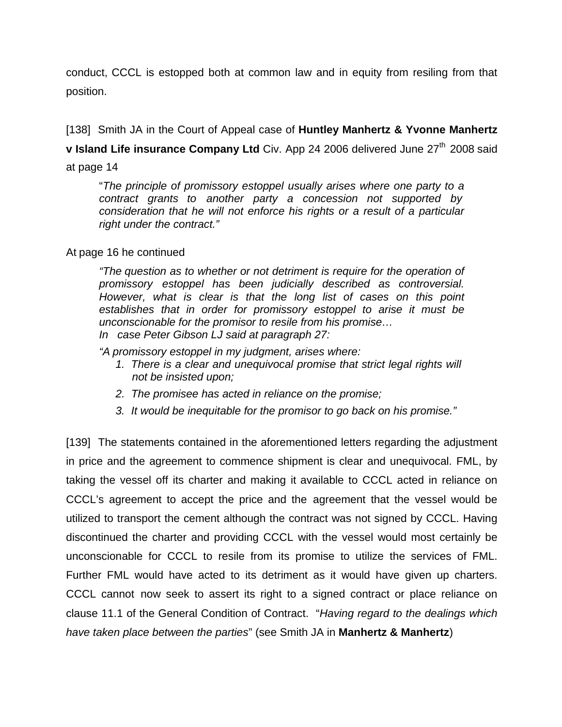conduct, CCCL is estopped both at common law and in equity from resiling from that position.

[138] Smith JA in the Court of Appeal case of **Huntley Manhertz & Yvonne Manhertz v Island Life insurance Company Ltd** Civ. App 24 2006 delivered June 27<sup>th</sup> 2008 said at page 14

"*The principle of promissory estoppel usually arises where one party to a contract grants to another party a concession not supported by consideration that he will not enforce his rights or a result of a particular right under the contract."*

At page 16 he continued

*"The question as to whether or not detriment is require for the operation of promissory estoppel has been judicially described as controversial. However, what is clear is that the long list of cases on this point establishes that in order for promissory estoppel to arise it must be unconscionable for the promisor to resile from his promise…*

*In case Peter Gibson LJ said at paragraph 27:*

*"A promissory estoppel in my judgment, arises where:*

- 1. There is a clear and unequivocal promise that strict legal rights will *not be insisted upon;*
- *2. The promisee has acted in reliance on the promise;*
- *3. It would be inequitable for the promisor to go back on his promise."*

[139] The statements contained in the aforementioned letters regarding the adjustment in price and the agreement to commence shipment is clear and unequivocal. FML, by taking the vessel off its charter and making it available to CCCL acted in reliance on CCCL's agreement to accept the price and the agreement that the vessel would be utilized to transport the cement although the contract was not signed by CCCL. Having discontinued the charter and providing CCCL with the vessel would most certainly be unconscionable for CCCL to resile from its promise to utilize the services of FML. Further FML would have acted to its detriment as it would have given up charters. CCCL cannot now seek to assert its right to a signed contract or place reliance on clause 11.1 of the General Condition of Contract. "*Having regard to the dealings which have taken place between the parties*" (see Smith JA in **Manhertz & Manhertz**)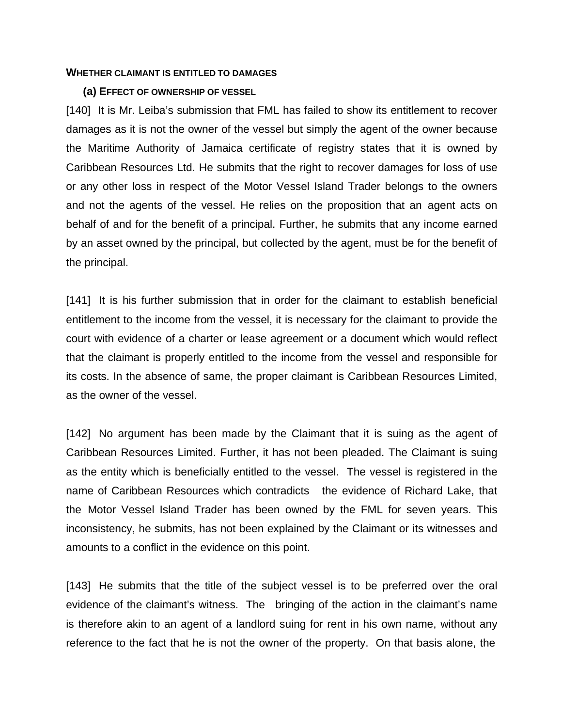#### **WHETHER CLAIMANT IS ENTITLED TO DAMAGES**

#### **(a) EFFECT OF OWNERSHIP OF VESSEL**

[140] It is Mr. Leiba's submission that FML has failed to show its entitlement to recover damages as it is not the owner of the vessel but simply the agent of the owner because the Maritime Authority of Jamaica certificate of registry states that it is owned by Caribbean Resources Ltd. He submits that the right to recover damages for loss of use or any other loss in respect of the Motor Vessel Island Trader belongs to the owners and not the agents of the vessel. He relies on the proposition that an agent acts on behalf of and for the benefit of a principal. Further, he submits that any income earned by an asset owned by the principal, but collected by the agent, must be for the benefit of the principal.

[141] It is his further submission that in order for the claimant to establish beneficial entitlement to the income from the vessel, it is necessary for the claimant to provide the court with evidence of a charter or lease agreement or a document which would reflect that the claimant is properly entitled to the income from the vessel and responsible for its costs. In the absence of same, the proper claimant is Caribbean Resources Limited, as the owner of the vessel.

[142] No argument has been made by the Claimant that it is suing as the agent of Caribbean Resources Limited. Further, it has not been pleaded. The Claimant is suing as the entity which is beneficially entitled to the vessel. The vessel is registered in the name of Caribbean Resources which contradicts the evidence of Richard Lake, that the Motor Vessel Island Trader has been owned by the FML for seven years. This inconsistency, he submits, has not been explained by the Claimant or its witnesses and amounts to a conflict in the evidence on this point.

[143] He submits that the title of the subject vessel is to be preferred over the oral evidence of the claimant's witness. The bringing of the action in the claimant's name is therefore akin to an agent of a landlord suing for rent in his own name, without any reference to the fact that he is not the owner of the property. On that basis alone, the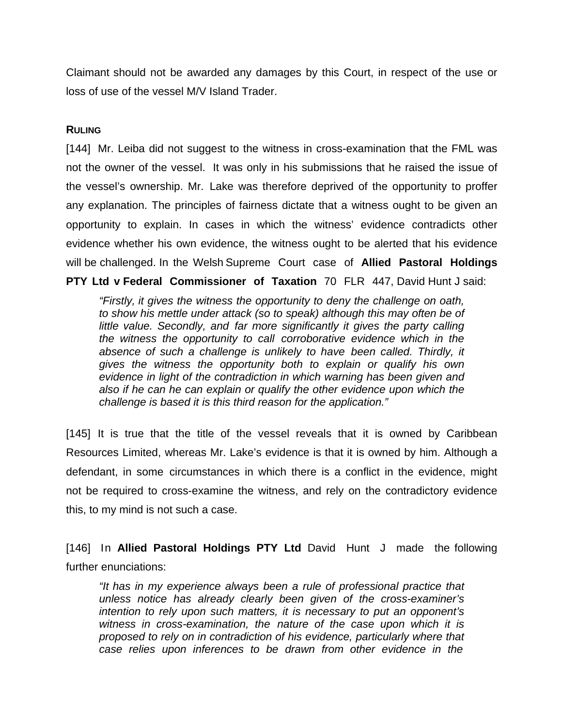Claimant should not be awarded any damages by this Court, in respect of the use or loss of use of the vessel M/V Island Trader.

### **RULING**

[144] Mr. Leiba did not suggest to the witness in cross-examination that the FML was not the owner of the vessel. It was only in his submissions that he raised the issue of the vessel's ownership. Mr. Lake was therefore deprived of the opportunity to proffer any explanation. The principles of fairness dictate that a witness ought to be given an opportunity to explain. In cases in which the witness' evidence contradicts other evidence whether his own evidence, the witness ought to be alerted that his evidence will be challenged. In the Welsh Supreme Court case of **Allied Pastoral Holdings PTY Ltd v Federal Commissioner of Taxation** 70 FLR 447, David Hunt J said:

*"Firstly, it gives the witness the opportunity to deny the challenge on oath, to show his mettle under attack (so to speak) although this may often be of*  little value. Secondly, and far more significantly it gives the party calling *the witness the opportunity to call corroborative evidence which in the absence of such a challenge is unlikely to have been called. Thirdly, it gives the witness the opportunity both to explain or qualify his own evidence in light of the contradiction in which warning has been given and also if he can he can explain or qualify the other evidence upon which the challenge is based it is this third reason for the application."*

[145] It is true that the title of the vessel reveals that it is owned by Caribbean Resources Limited, whereas Mr. Lake's evidence is that it is owned by him. Although a defendant, in some circumstances in which there is a conflict in the evidence, might not be required to cross-examine the witness, and rely on the contradictory evidence this, to my mind is not such a case.

[146] In **Allied Pastoral Holdings PTY Ltd** David Hunt J made the following further enunciations:

*"It has in my experience always been a rule of professional practice that unless notice has already clearly been given of the cross-examiner's intention to rely upon such matters, it is necessary to put an opponent's witness in cross-examination, the nature of the case upon which it is proposed to rely on in contradiction of his evidence, particularly where that case relies upon inferences to be drawn from other evidence in the*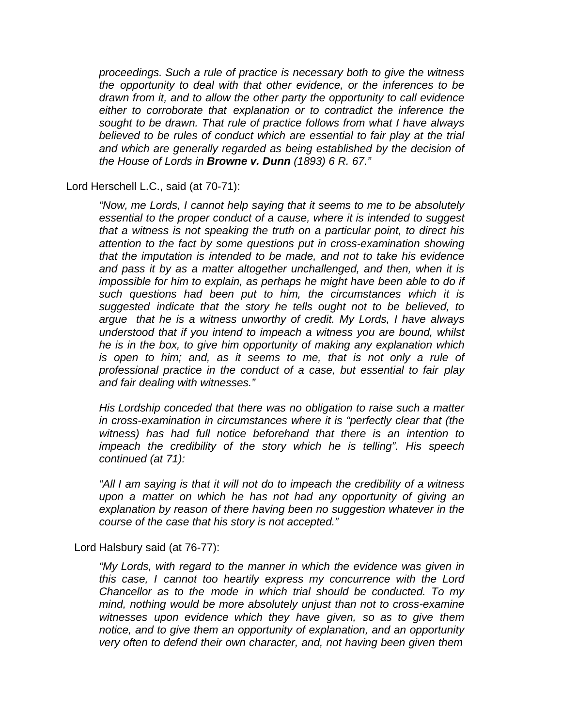*proceedings. Such a rule of practice is necessary both to give the witness the opportunity to deal with that other evidence, or the inferences to be drawn from it, and to allow the other party the opportunity to call evidence either to corroborate that explanation or to contradict the inference the sought to be drawn. That rule of practice follows from what I have always*  believed to be rules of conduct which are essential to fair play at the trial *and which are generally regarded as being established by the decision of the House of Lords in Browne v. Dunn (1893) 6 R. 67."*

Lord Herschell L.C., said (at 70-71):

*"Now, me Lords, I cannot help saying that it seems to me to be absolutely essential to the proper conduct of a cause, where it is intended to suggest that a witness is not speaking the truth on a particular point, to direct his attention to the fact by some questions put in cross-examination showing that the imputation is intended to be made, and not to take his evidence and pass it by as a matter altogether unchallenged, and then, when it is impossible for him to explain, as perhaps he might have been able to do if such questions had been put to him, the circumstances which it is suggested indicate that the story he tells ought not to be believed, to argue that he is a witness unworthy of credit. My Lords, I have always understood that if you intend to impeach a witness you are bound, whilst he is in the box, to give him opportunity of making any explanation which is open to him; and, as it seems to me, that is not only a rule of professional practice in the conduct of a case, but essential to fair play and fair dealing with witnesses."*

*His Lordship conceded that there was no obligation to raise such a matter in cross-examination in circumstances where it is "perfectly clear that (the witness) has had full notice beforehand that there is an intention to impeach the credibility of the story which he is telling". His speech continued (at 71):*

*"All I am saying is that it will not do to impeach the credibility of a witness upon a matter on which he has not had any opportunity of giving an explanation by reason of there having been no suggestion whatever in the course of the case that his story is not accepted."*

Lord Halsbury said (at 76-77):

*"My Lords, with regard to the manner in which the evidence was given in this case, I cannot too heartily express my concurrence with the Lord Chancellor as to the mode in which trial should be conducted. To my mind, nothing would be more absolutely unjust than not to cross-examine witnesses upon evidence which they have given, so as to give them notice, and to give them an opportunity of explanation, and an opportunity very often to defend their own character, and, not having been given them*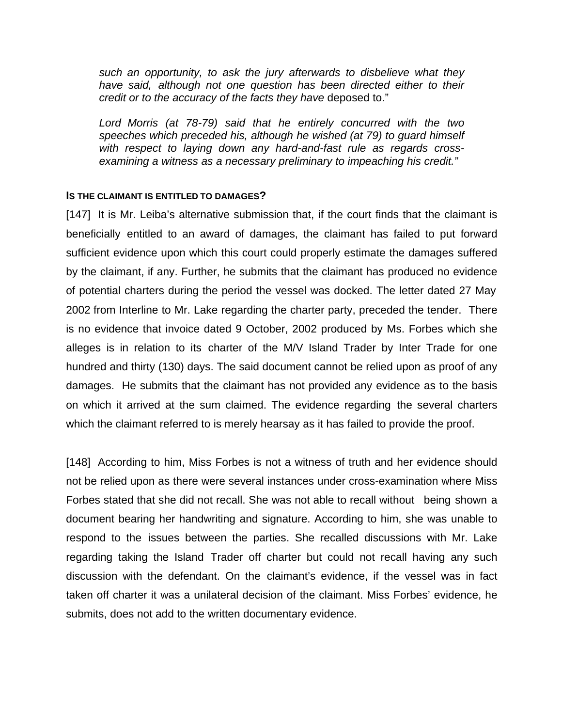*such an opportunity, to ask the jury afterwards to disbelieve what they have said, although not one question has been directed either to their credit or to the accuracy of the facts they have* deposed to."

*Lord Morris (at 78-79) said that he entirely concurred with the two speeches which preceded his, although he wished (at 79) to guard himself with respect to laying down any hard-and-fast rule as regards crossexamining a witness as a necessary preliminary to impeaching his credit."*

#### **IS THE CLAIMANT IS ENTITLED TO DAMAGES?**

[147] It is Mr. Leiba's alternative submission that, if the court finds that the claimant is beneficially entitled to an award of damages, the claimant has failed to put forward sufficient evidence upon which this court could properly estimate the damages suffered by the claimant, if any. Further, he submits that the claimant has produced no evidence of potential charters during the period the vessel was docked. The letter dated 27 May 2002 from Interline to Mr. Lake regarding the charter party, preceded the tender. There is no evidence that invoice dated 9 October, 2002 produced by Ms. Forbes which she alleges is in relation to its charter of the M/V Island Trader by Inter Trade for one hundred and thirty (130) days. The said document cannot be relied upon as proof of any damages. He submits that the claimant has not provided any evidence as to the basis on which it arrived at the sum claimed. The evidence regarding the several charters which the claimant referred to is merely hearsay as it has failed to provide the proof.

[148] According to him, Miss Forbes is not a witness of truth and her evidence should not be relied upon as there were several instances under cross-examination where Miss Forbes stated that she did not recall. She was not able to recall without being shown a document bearing her handwriting and signature. According to him, she was unable to respond to the issues between the parties. She recalled discussions with Mr. Lake regarding taking the Island Trader off charter but could not recall having any such discussion with the defendant. On the claimant's evidence, if the vessel was in fact taken off charter it was a unilateral decision of the claimant. Miss Forbes' evidence, he submits, does not add to the written documentary evidence.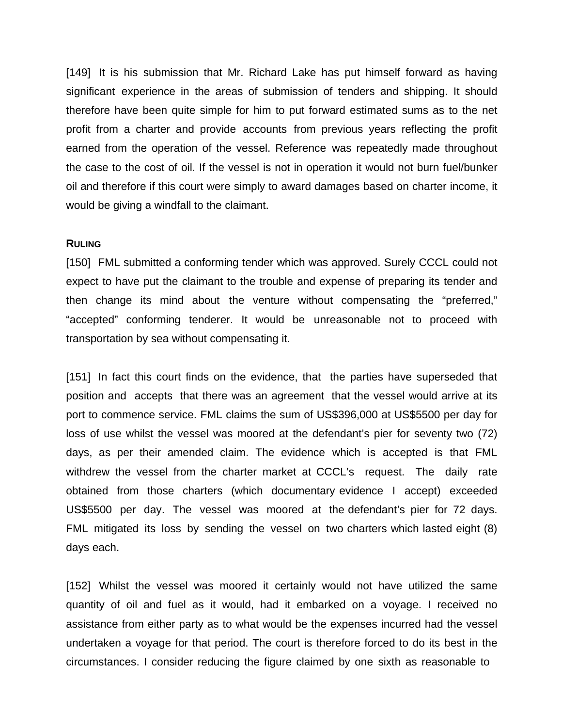[149] It is his submission that Mr. Richard Lake has put himself forward as having significant experience in the areas of submission of tenders and shipping. It should therefore have been quite simple for him to put forward estimated sums as to the net profit from a charter and provide accounts from previous years reflecting the profit earned from the operation of the vessel. Reference was repeatedly made throughout the case to the cost of oil. If the vessel is not in operation it would not burn fuel/bunker oil and therefore if this court were simply to award damages based on charter income, it would be giving a windfall to the claimant.

#### **RULING**

[150] FML submitted a conforming tender which was approved. Surely CCCL could not expect to have put the claimant to the trouble and expense of preparing its tender and then change its mind about the venture without compensating the "preferred," "accepted" conforming tenderer. It would be unreasonable not to proceed with transportation by sea without compensating it.

[151] In fact this court finds on the evidence, that the parties have superseded that position and accepts that there was an agreement that the vessel would arrive at its port to commence service. FML claims the sum of US\$396,000 at US\$5500 per day for loss of use whilst the vessel was moored at the defendant's pier for seventy two (72) days, as per their amended claim. The evidence which is accepted is that FML withdrew the vessel from the charter market at CCCL's request. The daily rate obtained from those charters (which documentary evidence I accept) exceeded US\$5500 per day. The vessel was moored at the defendant's pier for 72 days. FML mitigated its loss by sending the vessel on two charters which lasted eight (8) days each.

[152] Whilst the vessel was moored it certainly would not have utilized the same quantity of oil and fuel as it would, had it embarked on a voyage. I received no assistance from either party as to what would be the expenses incurred had the vessel undertaken a voyage for that period. The court is therefore forced to do its best in the circumstances. I consider reducing the figure claimed by one sixth as reasonable to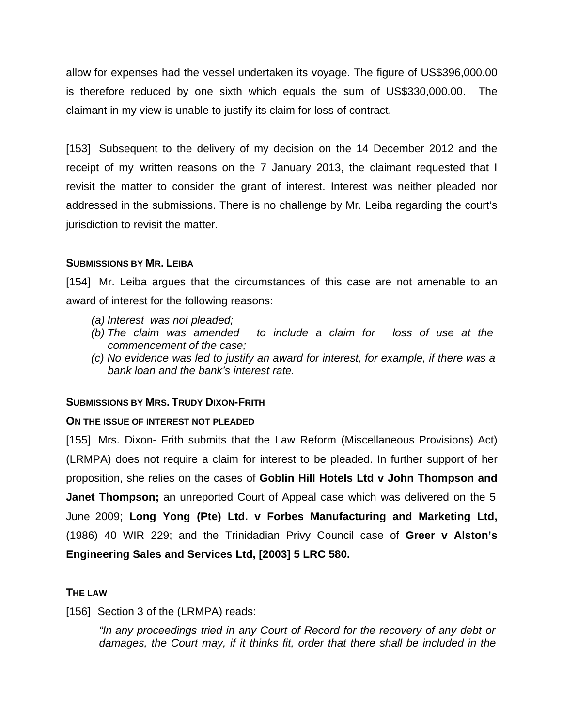allow for expenses had the vessel undertaken its voyage. The figure of US\$396,000.00 is therefore reduced by one sixth which equals the sum of US\$330,000.00. The claimant in my view is unable to justify its claim for loss of contract.

[153] Subsequent to the delivery of my decision on the 14 December 2012 and the receipt of my written reasons on the 7 January 2013, the claimant requested that I revisit the matter to consider the grant of interest. Interest was neither pleaded nor addressed in the submissions. There is no challenge by Mr. Leiba regarding the court's jurisdiction to revisit the matter.

# **SUBMISSIONS BY MR. LEIBA**

[154] Mr. Leiba argues that the circumstances of this case are not amenable to an award of interest for the following reasons:

- *(a) Interest was not pleaded;*
- *(b) The claim was amended to include a claim for loss of use at the commencement of the case;*
- *(c) No evidence was led to justify an award for interest, for example, if there was a bank loan and the bank's interest rate.*

# **SUBMISSIONS BY MRS. TRUDY DIXON-FRITH**

### **ON THE ISSUE OF INTEREST NOT PLEADED**

[155] Mrs. Dixon- Frith submits that the Law Reform (Miscellaneous Provisions) Act) (LRMPA) does not require a claim for interest to be pleaded. In further support of her proposition, she relies on the cases of **Goblin Hill Hotels Ltd v John Thompson and Janet Thompson**; an unreported Court of Appeal case which was delivered on the 5 June 2009; **Long Yong (Pte) Ltd. v Forbes Manufacturing and Marketing Ltd,**  (1986) 40 WIR 229; and the Trinidadian Privy Council case of **Greer v Alston's Engineering Sales and Services Ltd, [2003] 5 LRC 580.**

# **THE LAW**

[156] Section 3 of the (LRMPA) reads:

*"In any proceedings tried in any Court of Record for the recovery of any debt or damages, the Court may, if it thinks fit, order that there shall be included in the*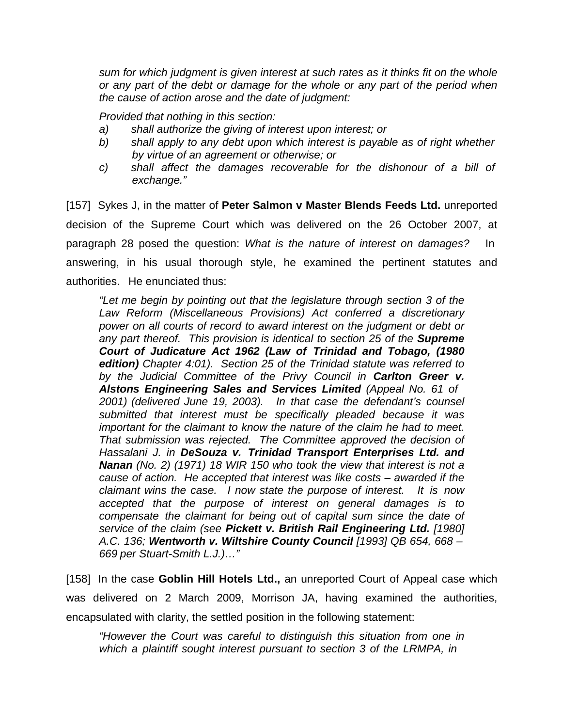*sum for which judgment is given interest at such rates as it thinks fit on the whole or any part of the debt or damage for the whole or any part of the period when the cause of action arose and the date of judgment:*

*Provided that nothing in this section:*

- *a) shall authorize the giving of interest upon interest; or*
- *b) shall apply to any debt upon which interest is payable as of right whether by virtue of an agreement or otherwise; or*
- *c) shall affect the damages recoverable for the dishonour of a bill of exchange."*

[157] Sykes J, in the matter of **Peter Salmon v Master Blends Feeds Ltd.** unreported decision of the Supreme Court which was delivered on the 26 October 2007, at paragraph 28 posed the question: *What is the nature of interest on damages?* In answering, in his usual thorough style, he examined the pertinent statutes and authorities. He enunciated thus:

*"Let me begin by pointing out that the legislature through section 3 of the Law Reform (Miscellaneous Provisions) Act conferred a discretionary power on all courts of record to award interest on the judgment or debt or any part thereof. This provision is identical to section 25 of the Supreme Court of Judicature Act 1962 (Law of Trinidad and Tobago, (1980 edition) Chapter 4:01). Section 25 of the Trinidad statute was referred to by the Judicial Committee of the Privy Council in Carlton Greer v. Alstons Engineering Sales and Services Limited (Appeal No. 61 of 2001) (delivered June 19, 2003). In that case the defendant's counsel submitted that interest must be specifically pleaded because it was important for the claimant to know the nature of the claim he had to meet. That submission was rejected. The Committee approved the decision of Hassalani J. in DeSouza v. Trinidad Transport Enterprises Ltd. and Nanan (No. 2) (1971) 18 WIR 150 who took the view that interest is not a cause of action. He accepted that interest was like costs – awarded if the claimant wins the case. I now state the purpose of interest. It is now accepted that the purpose of interest on general damages is to compensate the claimant for being out of capital sum since the date of service of the claim (see Pickett v. British Rail Engineering Ltd. [1980] A.C. 136; Wentworth v. Wiltshire County Council [1993] QB 654, 668 – 669 per Stuart-Smith L.J.)…"*

[158] In the case **Goblin Hill Hotels Ltd.,** an unreported Court of Appeal case which was delivered on 2 March 2009, Morrison JA, having examined the authorities, encapsulated with clarity, the settled position in the following statement:

*"However the Court was careful to distinguish this situation from one in which a plaintiff sought interest pursuant to section 3 of the LRMPA, in*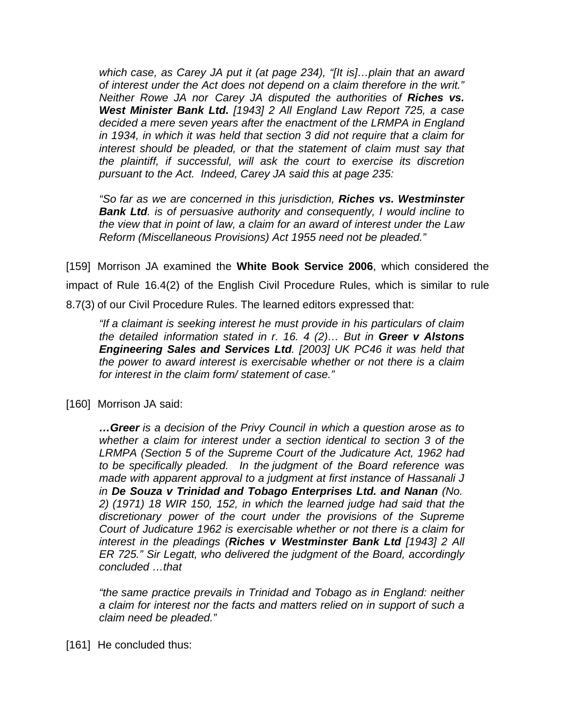*which case, as Carey JA put it (at page 234), "[It is]…plain that an award of interest under the Act does not depend on a claim therefore in the writ." Neither Rowe JA nor Carey JA disputed the authorities of Riches vs. West Minister Bank Ltd. [1943] 2 All England Law Report 725, a case decided a mere seven years after the enactment of the LRMPA in England in 1934, in which it was held that section 3 did not require that a claim for interest should be pleaded, or that the statement of claim must say that the plaintiff, if successful, will ask the court to exercise its discretion pursuant to the Act. Indeed, Carey JA said this at page 235:*

*"So far as we are concerned in this jurisdiction, Riches vs. Westminster Bank Ltd. is of persuasive authority and consequently, I would incline to the view that in point of law, a claim for an award of interest under the Law Reform (Miscellaneous Provisions) Act 1955 need not be pleaded."*

[159] Morrison JA examined the **White Book Service 2006**, which considered the impact of Rule 16.4(2) of the English Civil Procedure Rules, which is similar to rule 8.7(3) of our Civil Procedure Rules. The learned editors expressed that:

*"If a claimant is seeking interest he must provide in his particulars of claim the detailed information stated in r. 16. 4 (2)… But in Greer v Alstons Engineering Sales and Services Ltd. [2003] UK PC46 it was held that the power to award interest is exercisable whether or not there is a claim for interest in the claim form/ statement of case."*

[160] Morrison JA said:

*…Greer is a decision of the Privy Council in which a question arose as to whether a claim for interest under a section identical to section 3 of the LRMPA (Section 5 of the Supreme Court of the Judicature Act, 1962 had to be specifically pleaded. In the judgment of the Board reference was made with apparent approval to a judgment at first instance of Hassanali J in De Souza v Trinidad and Tobago Enterprises Ltd. and Nanan (No. 2) (1971) 18 WIR 150, 152, in which the learned judge had said that the discretionary power of the court under the provisions of the Supreme Court of Judicature 1962 is exercisable whether or not there is a claim for interest in the pleadings (Riches v Westminster Bank Ltd [1943] 2 All ER 725." Sir Legatt, who delivered the judgment of the Board, accordingly concluded …that*

*"the same practice prevails in Trinidad and Tobago as in England: neither a claim for interest nor the facts and matters relied on in support of such a claim need be pleaded."*

[161] He concluded thus: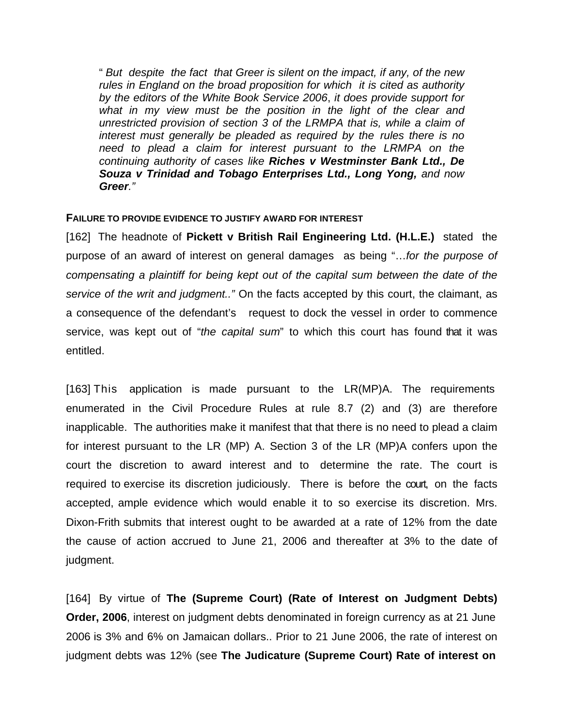" *But despite the fact that Greer is silent on the impact, if any, of the new rules in England on the broad proposition for which it is cited as authority by the editors of the White Book Service 2006*, *it does provide support for what in my view must be the position in the light of the clear and unrestricted provision of section 3 of the LRMPA that is, while a claim of interest must generally be pleaded as required by the rules there is no need to plead a claim for interest pursuant to the LRMPA on the continuing authority of cases like Riches v Westminster Bank Ltd., De*  **Souza v Trinidad and Tobago Enterprises Ltd., Long Yong, and now** *Greer."*

#### **FAILURE TO PROVIDE EVIDENCE TO JUSTIFY AWARD FOR INTEREST**

[162] The headnote of **Pickett v British Rail Engineering Ltd. (H.L.E.)** stated the purpose of an award of interest on general damages as being "…*for the purpose of compensating a plaintiff for being kept out of the capital sum between the date of the service of the writ and judgment.."* On the facts accepted by this court, the claimant, as a consequence of the defendant's request to dock the vessel in order to commence service, was kept out of "*the capital sum*" to which this court has found that it was entitled.

[163] This application is made pursuant to the LR(MP)A. The requirements enumerated in the Civil Procedure Rules at rule 8.7 (2) and (3) are therefore inapplicable. The authorities make it manifest that that there is no need to plead a claim for interest pursuant to the LR (MP) A. Section 3 of the LR (MP)A confers upon the court the discretion to award interest and to determine the rate. The court is required to exercise its discretion judiciously. There is before the court, on the facts accepted, ample evidence which would enable it to so exercise its discretion. Mrs. Dixon-Frith submits that interest ought to be awarded at a rate of 12% from the date the cause of action accrued to June 21, 2006 and thereafter at 3% to the date of judgment.

[164] By virtue of **The (Supreme Court) (Rate of Interest on Judgment Debts) Order, 2006**, interest on judgment debts denominated in foreign currency as at 21 June 2006 is 3% and 6% on Jamaican dollars.. Prior to 21 June 2006, the rate of interest on judgment debts was 12% (see **The Judicature (Supreme Court) Rate of interest on**